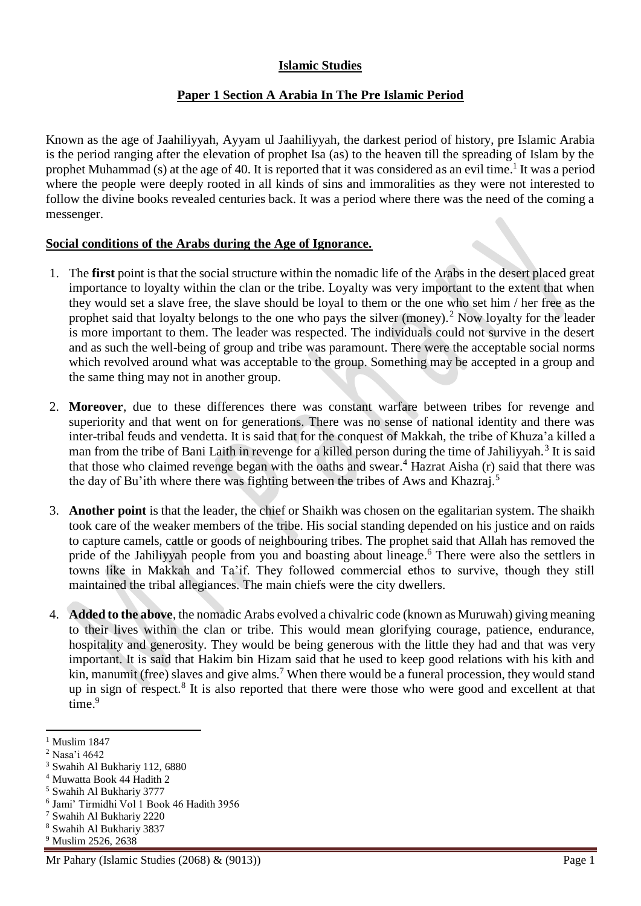## **Islamic Studies**

## **Paper 1 Section A Arabia In The Pre Islamic Period**

Known as the age of Jaahiliyyah, Ayyam ul Jaahiliyyah, the darkest period of history, pre Islamic Arabia is the period ranging after the elevation of prophet Isa (as) to the heaven till the spreading of Islam by the prophet Muhammad (s) at the age of 40. It is reported that it was considered as an evil time.<sup>1</sup> It was a period where the people were deeply rooted in all kinds of sins and immoralities as they were not interested to follow the divine books revealed centuries back. It was a period where there was the need of the coming a messenger.

## **Social conditions of the Arabs during the Age of Ignorance.**

- 1. The **first** point is that the social structure within the nomadic life of the Arabs in the desert placed great importance to loyalty within the clan or the tribe. Loyalty was very important to the extent that when they would set a slave free, the slave should be loyal to them or the one who set him / her free as the prophet said that loyalty belongs to the one who pays the silver (money).<sup>2</sup> Now loyalty for the leader is more important to them. The leader was respected. The individuals could not survive in the desert and as such the well-being of group and tribe was paramount. There were the acceptable social norms which revolved around what was acceptable to the group. Something may be accepted in a group and the same thing may not in another group.
- 2. **Moreover**, due to these differences there was constant warfare between tribes for revenge and superiority and that went on for generations. There was no sense of national identity and there was inter-tribal feuds and vendetta. It is said that for the conquest of Makkah, the tribe of Khuza'a killed a man from the tribe of Bani Laith in revenge for a killed person during the time of Jahiliyyah.<sup>3</sup> It is said that those who claimed revenge began with the oaths and swear.<sup>4</sup> Hazrat Aisha (r) said that there was the day of Bu'ith where there was fighting between the tribes of Aws and Khazraj.<sup>5</sup>
- 3. **Another point** is that the leader, the chief or Shaikh was chosen on the egalitarian system. The shaikh took care of the weaker members of the tribe. His social standing depended on his justice and on raids to capture camels, cattle or goods of neighbouring tribes. The prophet said that Allah has removed the pride of the Jahiliyyah people from you and boasting about lineage.<sup>6</sup> There were also the settlers in towns like in Makkah and Ta'if. They followed commercial ethos to survive, though they still maintained the tribal allegiances. The main chiefs were the city dwellers.
- 4. **Added to the above**, the nomadic Arabs evolved a chivalric code (known as Muruwah) giving meaning to their lives within the clan or tribe. This would mean glorifying courage, patience, endurance, hospitality and generosity. They would be being generous with the little they had and that was very important. It is said that Hakim bin Hizam said that he used to keep good relations with his kith and kin, manumit (free) slaves and give alms.<sup>7</sup> When there would be a funeral procession, they would stand up in sign of respect.<sup>8</sup> It is also reported that there were those who were good and excellent at that time.<sup>9</sup>

 $\overline{a}$ 

<sup>9</sup> Muslim 2526, 2638

 $<sup>1</sup>$  Muslim 1847</sup>

<sup>2</sup> Nasa'i 4642

<sup>3</sup> Swahih Al Bukhariy 112, 6880

<sup>4</sup> Muwatta Book 44 Hadith 2

<sup>5</sup> Swahih Al Bukhariy 3777

<sup>6</sup> Jami' Tirmidhi Vol 1 Book 46 Hadith 3956

<sup>7</sup> Swahih Al Bukhariy 2220

<sup>8</sup> Swahih Al Bukhariy 3837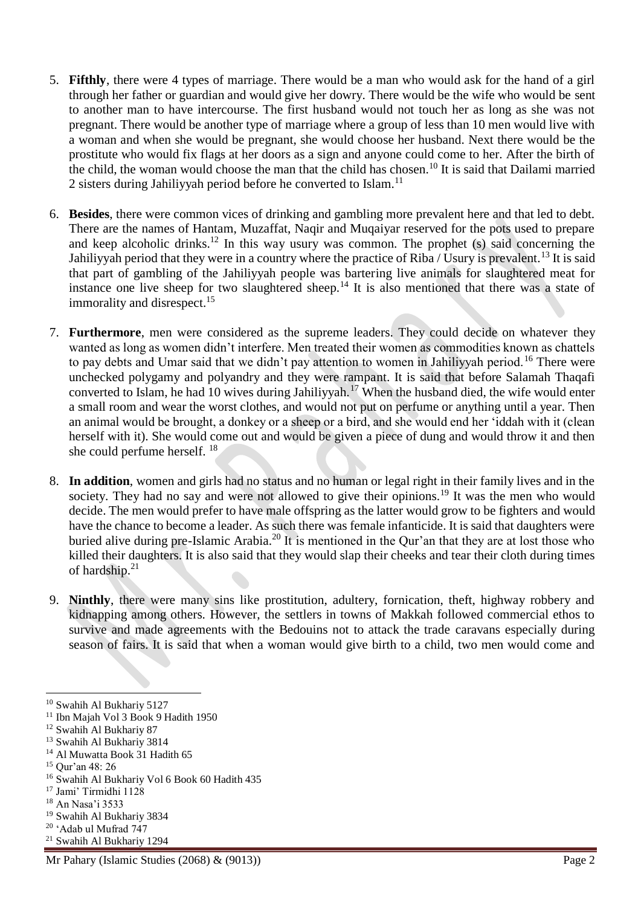- 5. **Fifthly**, there were 4 types of marriage. There would be a man who would ask for the hand of a girl through her father or guardian and would give her dowry. There would be the wife who would be sent to another man to have intercourse. The first husband would not touch her as long as she was not pregnant. There would be another type of marriage where a group of less than 10 men would live with a woman and when she would be pregnant, she would choose her husband. Next there would be the prostitute who would fix flags at her doors as a sign and anyone could come to her. After the birth of the child, the woman would choose the man that the child has chosen.<sup>10</sup> It is said that Dailami married 2 sisters during Jahiliyyah period before he converted to Islam.<sup>11</sup>
- 6. **Besides**, there were common vices of drinking and gambling more prevalent here and that led to debt. There are the names of Hantam, Muzaffat, Naqir and Muqaiyar reserved for the pots used to prepare and keep alcoholic drinks.<sup>12</sup> In this way usury was common. The prophet  $(s)$  said concerning the Jahiliyyah period that they were in a country where the practice of Riba / Usury is prevalent.<sup>13</sup> It is said that part of gambling of the Jahiliyyah people was bartering live animals for slaughtered meat for instance one live sheep for two slaughtered sheep.<sup>14</sup> It is also mentioned that there was a state of immorality and disrespect.<sup>15</sup>
- 7. **Furthermore**, men were considered as the supreme leaders. They could decide on whatever they wanted as long as women didn't interfere. Men treated their women as commodities known as chattels to pay debts and Umar said that we didn't pay attention to women in Jahiliyyah period.<sup>16</sup> There were unchecked polygamy and polyandry and they were rampant. It is said that before Salamah Thaqafi converted to Islam, he had 10 wives during Jahiliyyah.<sup>17</sup> When the husband died, the wife would enter a small room and wear the worst clothes, and would not put on perfume or anything until a year. Then an animal would be brought, a donkey or a sheep or a bird, and she would end her 'iddah with it (clean herself with it). She would come out and would be given a piece of dung and would throw it and then she could perfume herself. <sup>18</sup>
- 8. **In addition**, women and girls had no status and no human or legal right in their family lives and in the society. They had no say and were not allowed to give their opinions.<sup>19</sup> It was the men who would decide. The men would prefer to have male offspring as the latter would grow to be fighters and would have the chance to become a leader. As such there was female infanticide. It is said that daughters were buried alive during pre-Islamic Arabia.<sup>20</sup> It is mentioned in the Qur'an that they are at lost those who killed their daughters. It is also said that they would slap their cheeks and tear their cloth during times of hardship.<sup>21</sup>
- 9. **Ninthly**, there were many sins like prostitution, adultery, fornication, theft, highway robbery and kidnapping among others. However, the settlers in towns of Makkah followed commercial ethos to survive and made agreements with the Bedouins not to attack the trade caravans especially during season of fairs. It is said that when a woman would give birth to a child, two men would come and

<sup>10</sup> Swahih Al Bukhariy 5127

<sup>&</sup>lt;sup>11</sup> Ibn Majah Vol 3 Book 9 Hadith 1950

<sup>&</sup>lt;sup>12</sup> Swahih Al Bukhariy 87

<sup>13</sup> Swahih Al Bukhariy 3814

<sup>&</sup>lt;sup>14</sup> Al Muwatta Book 31 Hadith 65

<sup>15</sup> Qur'an 48: 26

<sup>16</sup> Swahih Al Bukhariy Vol 6 Book 60 Hadith 435

<sup>17</sup> Jami' Tirmidhi 1128

<sup>18</sup> An Nasa'i 3533

<sup>19</sup> Swahih Al Bukhariy 3834

<sup>20</sup> 'Adab ul Mufrad 747

<sup>21</sup> Swahih Al Bukhariy 1294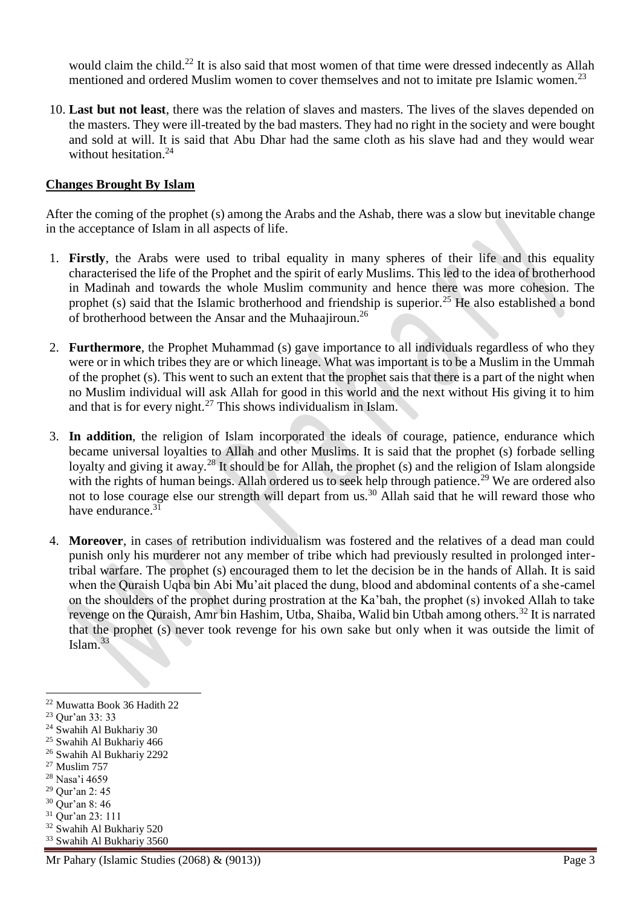would claim the child.<sup>22</sup> It is also said that most women of that time were dressed indecently as Allah mentioned and ordered Muslim women to cover themselves and not to imitate pre Islamic women.<sup>23</sup>

10. **Last but not least**, there was the relation of slaves and masters. The lives of the slaves depended on the masters. They were ill-treated by the bad masters. They had no right in the society and were bought and sold at will. It is said that Abu Dhar had the same cloth as his slave had and they would wear without hesitation.<sup>24</sup>

### **Changes Brought By Islam**

After the coming of the prophet (s) among the Arabs and the Ashab, there was a slow but inevitable change in the acceptance of Islam in all aspects of life.

- 1. **Firstly**, the Arabs were used to tribal equality in many spheres of their life and this equality characterised the life of the Prophet and the spirit of early Muslims. This led to the idea of brotherhood in Madinah and towards the whole Muslim community and hence there was more cohesion. The prophet (s) said that the Islamic brotherhood and friendship is superior.<sup>25</sup> He also established a bond of brotherhood between the Ansar and the Muhaajiroun.<sup>26</sup>
- 2. **Furthermore**, the Prophet Muhammad (s) gave importance to all individuals regardless of who they were or in which tribes they are or which lineage. What was important is to be a Muslim in the Ummah of the prophet (s). This went to such an extent that the prophet sais that there is a part of the night when no Muslim individual will ask Allah for good in this world and the next without His giving it to him and that is for every night.<sup>27</sup> This shows individualism in Islam.
- 3. **In addition**, the religion of Islam incorporated the ideals of courage, patience, endurance which became universal loyalties to Allah and other Muslims. It is said that the prophet (s) forbade selling loyalty and giving it away.<sup>28</sup> It should be for Allah, the prophet (s) and the religion of Islam alongside with the rights of human beings. Allah ordered us to seek help through patience.<sup>29</sup> We are ordered also not to lose courage else our strength will depart from us.<sup>30</sup> Allah said that he will reward those who have endurance.<sup>31</sup>
- 4. **Moreover**, in cases of retribution individualism was fostered and the relatives of a dead man could punish only his murderer not any member of tribe which had previously resulted in prolonged intertribal warfare. The prophet (s) encouraged them to let the decision be in the hands of Allah. It is said when the Quraish Uqba bin Abi Mu'ait placed the dung, blood and abdominal contents of a she-camel on the shoulders of the prophet during prostration at the Ka'bah, the prophet (s) invoked Allah to take revenge on the Quraish, Amr bin Hashim, Utba, Shaiba, Walid bin Utbah among others.<sup>32</sup> It is narrated that the prophet (s) never took revenge for his own sake but only when it was outside the limit of Islam. $33$

- <sup>25</sup> Swahih Al Bukhariy 466
- <sup>26</sup> Swahih Al Bukhariy 2292
- <sup>27</sup> Muslim 757

<sup>32</sup> Swahih Al Bukhariy 520

 $\overline{a}$ <sup>22</sup> Muwatta Book 36 Hadith 22

<sup>23</sup> Qur'an 33: 33

<sup>&</sup>lt;sup>24</sup> Swahih Al Bukhariy 30

<sup>28</sup> Nasa'i 4659

<sup>29</sup> Qur'an 2: 45

<sup>30</sup> Qur'an 8: 46 <sup>31</sup> Qur'an 23: 111

<sup>33</sup> Swahih Al Bukhariy 3560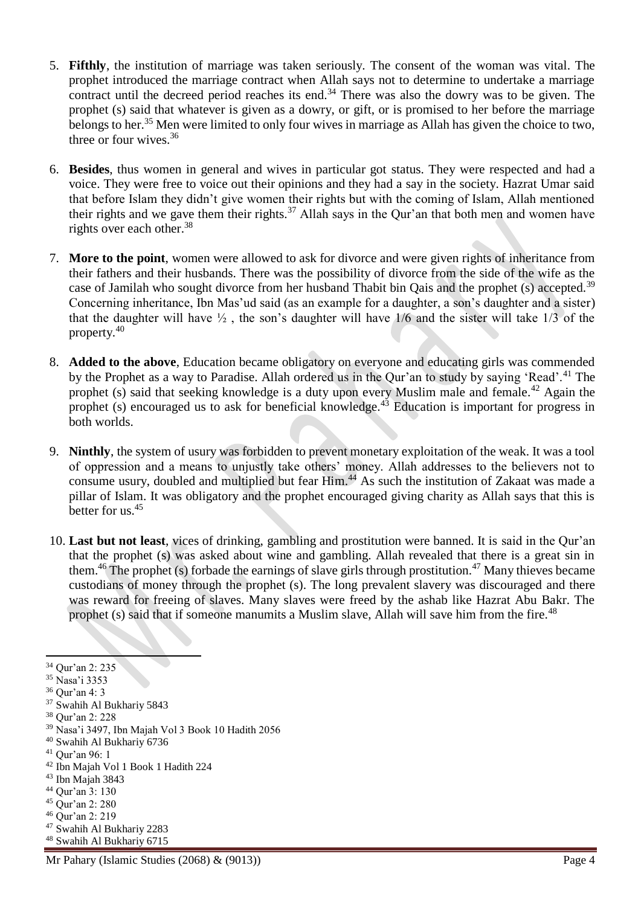- 5. **Fifthly**, the institution of marriage was taken seriously. The consent of the woman was vital. The prophet introduced the marriage contract when Allah says not to determine to undertake a marriage contract until the decreed period reaches its end.<sup>34</sup> There was also the dowry was to be given. The prophet (s) said that whatever is given as a dowry, or gift, or is promised to her before the marriage belongs to her.<sup>35</sup> Men were limited to only four wives in marriage as Allah has given the choice to two, three or four wives.<sup>36</sup>
- 6. **Besides**, thus women in general and wives in particular got status. They were respected and had a voice. They were free to voice out their opinions and they had a say in the society. Hazrat Umar said that before Islam they didn't give women their rights but with the coming of Islam, Allah mentioned their rights and we gave them their rights.<sup>37</sup> Allah says in the Our'an that both men and women have rights over each other.<sup>38</sup>
- 7. **More to the point**, women were allowed to ask for divorce and were given rights of inheritance from their fathers and their husbands. There was the possibility of divorce from the side of the wife as the case of Jamilah who sought divorce from her husband Thabit bin Qais and the prophet (s) accepted.<sup>39</sup> Concerning inheritance, Ibn Mas'ud said (as an example for a daughter, a son's daughter and a sister) that the daughter will have  $\frac{1}{2}$ , the son's daughter will have 1/6 and the sister will take 1/3 of the property.<sup>40</sup>
- 8. **Added to the above**, Education became obligatory on everyone and educating girls was commended by the Prophet as a way to Paradise. Allah ordered us in the Our'an to study by saying 'Read'.<sup>41</sup> The prophet (s) said that seeking knowledge is a duty upon every Muslim male and female.<sup>42</sup> Again the prophet (s) encouraged us to ask for beneficial knowledge.<sup>43</sup> Education is important for progress in both worlds.
- 9. **Ninthly**, the system of usury was forbidden to prevent monetary exploitation of the weak. It was a tool of oppression and a means to unjustly take others' money. Allah addresses to the believers not to consume usury, doubled and multiplied but fear Him.<sup>44</sup> As such the institution of Zakaat was made a pillar of Islam. It was obligatory and the prophet encouraged giving charity as Allah says that this is better for us.<sup>45</sup>
- 10. **Last but not least**, vices of drinking, gambling and prostitution were banned. It is said in the Qur'an that the prophet (s) was asked about wine and gambling. Allah revealed that there is a great sin in them.<sup>46</sup> The prophet (s) forbade the earnings of slave girls through prostitution.<sup>47</sup> Many thieves became custodians of money through the prophet (s). The long prevalent slavery was discouraged and there was reward for freeing of slaves. Many slaves were freed by the ashab like Hazrat Abu Bakr. The prophet (s) said that if someone manumits a Muslim slave, Allah will save him from the fire.<sup>48</sup>

1

<sup>34</sup> Qur'an 2: 235

<sup>35</sup> Nasa'i 3353

<sup>36</sup> Qur'an 4: 3

<sup>37</sup> Swahih Al Bukhariy 5843

<sup>38</sup> Qur'an 2: 228

<sup>39</sup> Nasa'i 3497, Ibn Majah Vol 3 Book 10 Hadith 2056

<sup>40</sup> Swahih Al Bukhariy 6736

<sup>41</sup> Qur'an 96: 1

<sup>42</sup> Ibn Majah Vol 1 Book 1 Hadith 224

 $43$  Ibn Majah 3843

<sup>44</sup> Qur'an 3: 130

<sup>45</sup> Qur'an 2: 280

<sup>46</sup> Qur'an 2: 219

<sup>47</sup> Swahih Al Bukhariy 2283

<sup>48</sup> Swahih Al Bukhariy 6715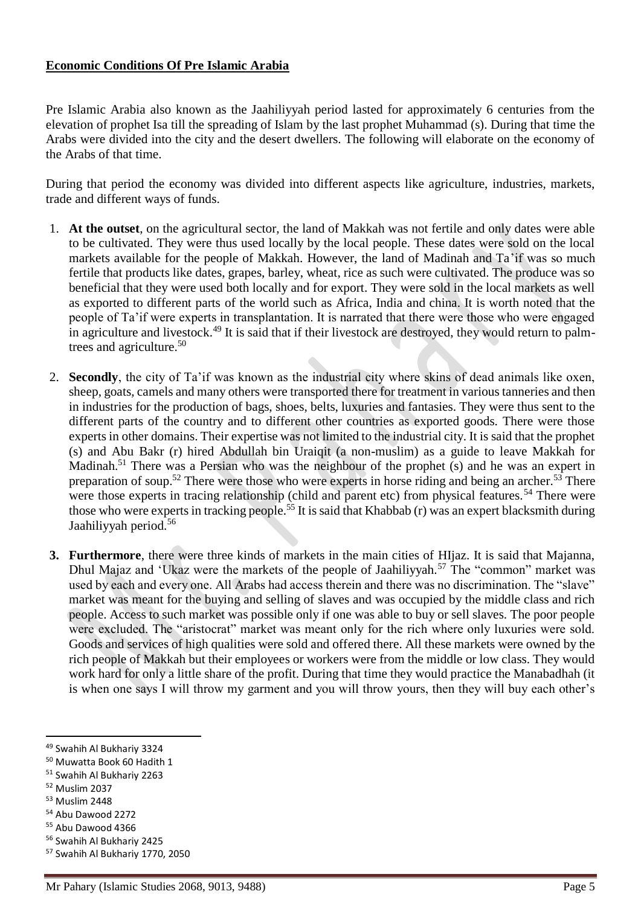## **Economic Conditions Of Pre Islamic Arabia**

Pre Islamic Arabia also known as the Jaahiliyyah period lasted for approximately 6 centuries from the elevation of prophet Isa till the spreading of Islam by the last prophet Muhammad (s). During that time the Arabs were divided into the city and the desert dwellers. The following will elaborate on the economy of the Arabs of that time.

During that period the economy was divided into different aspects like agriculture, industries, markets, trade and different ways of funds.

- 1. **At the outset**, on the agricultural sector, the land of Makkah was not fertile and only dates were able to be cultivated. They were thus used locally by the local people. These dates were sold on the local markets available for the people of Makkah. However, the land of Madinah and Ta'if was so much fertile that products like dates, grapes, barley, wheat, rice as such were cultivated. The produce was so beneficial that they were used both locally and for export. They were sold in the local markets as well as exported to different parts of the world such as Africa, India and china. It is worth noted that the people of Ta'if were experts in transplantation. It is narrated that there were those who were engaged in agriculture and livestock.<sup>49</sup> It is said that if their livestock are destroyed, they would return to palmtrees and agriculture.<sup>50</sup>
- 2. **Secondly**, the city of Ta'if was known as the industrial city where skins of dead animals like oxen, sheep, goats, camels and many others were transported there for treatment in various tanneries and then in industries for the production of bags, shoes, belts, luxuries and fantasies. They were thus sent to the different parts of the country and to different other countries as exported goods. There were those experts in other domains. Their expertise was not limited to the industrial city. It is said that the prophet (s) and Abu Bakr (r) hired Abdullah bin Uraiqit (a non-muslim) as a guide to leave Makkah for Madinah.<sup>51</sup> There was a Persian who was the neighbour of the prophet (s) and he was an expert in preparation of soup.<sup>52</sup> There were those who were experts in horse riding and being an archer.<sup>53</sup> There were those experts in tracing relationship (child and parent etc) from physical features.<sup>54</sup> There were those who were experts in tracking people.<sup>55</sup> It is said that Khabbab  $(r)$  was an expert blacksmith during Jaahiliyyah period.<sup>56</sup>
- **3. Furthermore**, there were three kinds of markets in the main cities of HIjaz. It is said that Majanna, Dhul Majaz and 'Ukaz were the markets of the people of Jaahiliyyah.<sup>57</sup> The "common" market was used by each and every one. All Arabs had access therein and there was no discrimination. The "slave" market was meant for the buying and selling of slaves and was occupied by the middle class and rich people. Access to such market was possible only if one was able to buy or sell slaves. The poor people were excluded. The "aristocrat" market was meant only for the rich where only luxuries were sold. Goods and services of high qualities were sold and offered there. All these markets were owned by the rich people of Makkah but their employees or workers were from the middle or low class. They would work hard for only a little share of the profit. During that time they would practice the Manabadhah (it is when one says I will throw my garment and you will throw yours, then they will buy each other's

<sup>52</sup> Muslim 2037

<sup>49</sup> Swahih Al Bukhariy 3324

<sup>50</sup> Muwatta Book 60 Hadith 1

<sup>51</sup> Swahih Al Bukhariy 2263

<sup>53</sup> Muslim 2448

<sup>54</sup> Abu Dawood 2272

<sup>55</sup> Abu Dawood 4366

<sup>56</sup> Swahih Al Bukhariy 2425

<sup>57</sup> Swahih Al Bukhariy 1770, 2050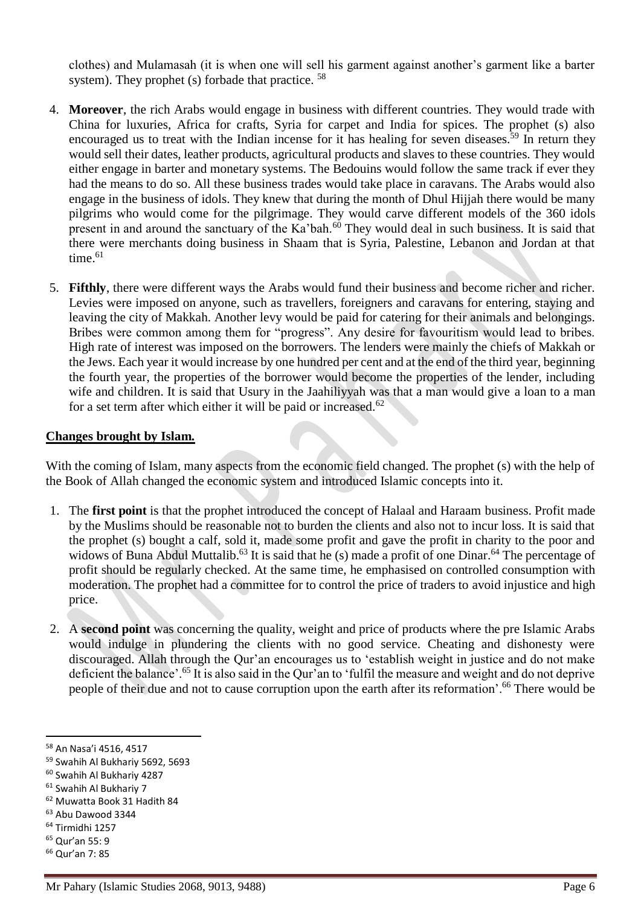clothes) and Mulamasah (it is when one will sell his garment against another's garment like a barter system). They prophet (s) forbade that practice. <sup>58</sup>

- 4. **Moreover**, the rich Arabs would engage in business with different countries. They would trade with China for luxuries, Africa for crafts, Syria for carpet and India for spices. The prophet (s) also encouraged us to treat with the Indian incense for it has healing for seven diseases.<sup>59</sup> In return they would sell their dates, leather products, agricultural products and slaves to these countries. They would either engage in barter and monetary systems. The Bedouins would follow the same track if ever they had the means to do so. All these business trades would take place in caravans. The Arabs would also engage in the business of idols. They knew that during the month of Dhul Hijjah there would be many pilgrims who would come for the pilgrimage. They would carve different models of the 360 idols present in and around the sanctuary of the Ka'bah.<sup>60</sup> They would deal in such business. It is said that there were merchants doing business in Shaam that is Syria, Palestine, Lebanon and Jordan at that time. $61$
- 5. **Fifthly**, there were different ways the Arabs would fund their business and become richer and richer. Levies were imposed on anyone, such as travellers, foreigners and caravans for entering, staying and leaving the city of Makkah. Another levy would be paid for catering for their animals and belongings. Bribes were common among them for "progress". Any desire for favouritism would lead to bribes. High rate of interest was imposed on the borrowers. The lenders were mainly the chiefs of Makkah or the Jews. Each year it would increase by one hundred per cent and at the end of the third year, beginning the fourth year, the properties of the borrower would become the properties of the lender, including wife and children. It is said that Usury in the Jaahiliyyah was that a man would give a loan to a man for a set term after which either it will be paid or increased.<sup>62</sup>

#### **Changes brought by Islam.**

With the coming of Islam, many aspects from the economic field changed. The prophet (s) with the help of the Book of Allah changed the economic system and introduced Islamic concepts into it.

- 1. The **first point** is that the prophet introduced the concept of Halaal and Haraam business. Profit made by the Muslims should be reasonable not to burden the clients and also not to incur loss. It is said that the prophet (s) bought a calf, sold it, made some profit and gave the profit in charity to the poor and widows of Buna Abdul Muttalib.<sup>63</sup> It is said that he (s) made a profit of one Dinar.<sup>64</sup> The percentage of profit should be regularly checked. At the same time, he emphasised on controlled consumption with moderation. The prophet had a committee for to control the price of traders to avoid injustice and high price.
- 2. A **second point** was concerning the quality, weight and price of products where the pre Islamic Arabs would indulge in plundering the clients with no good service. Cheating and dishonesty were discouraged. Allah through the Qur'an encourages us to 'establish weight in justice and do not make deficient the balance'.<sup>65</sup> It is also said in the Qur'an to 'fulfil the measure and weight and do not deprive people of their due and not to cause corruption upon the earth after its reformation'.<sup>66</sup> There would be

<sup>62</sup> Muwatta Book 31 Hadith 84

- <sup>64</sup> Tirmidhi 1257
- <sup>65</sup> Qur'an 55: 9

 $\overline{a}$ 

<sup>66</sup> Qur'an 7: 85

<sup>58</sup> An Nasa'i 4516, 4517

<sup>59</sup> Swahih Al Bukhariy 5692, 5693

<sup>60</sup> Swahih Al Bukhariy 4287

<sup>61</sup> Swahih Al Bukhariy 7

<sup>63</sup> Abu Dawood 3344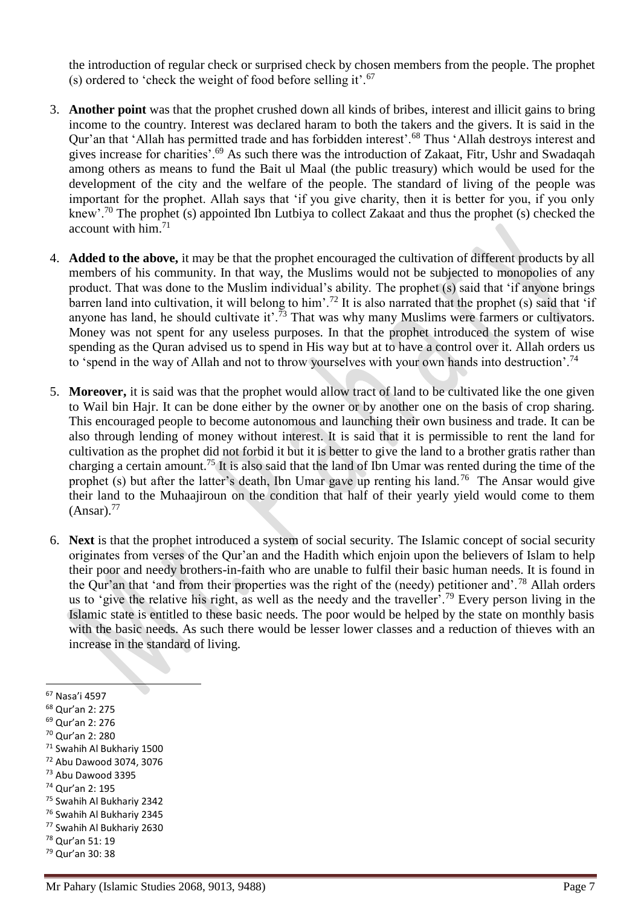the introduction of regular check or surprised check by chosen members from the people. The prophet (s) ordered to 'check the weight of food before selling it'.<sup>67</sup>

- 3. **Another point** was that the prophet crushed down all kinds of bribes, interest and illicit gains to bring income to the country. Interest was declared haram to both the takers and the givers. It is said in the Qur'an that 'Allah has permitted trade and has forbidden interest'.<sup>68</sup> Thus 'Allah destroys interest and gives increase for charities'.<sup>69</sup> As such there was the introduction of Zakaat, Fitr, Ushr and Swadaqah among others as means to fund the Bait ul Maal (the public treasury) which would be used for the development of the city and the welfare of the people. The standard of living of the people was important for the prophet. Allah says that 'if you give charity, then it is better for you, if you only knew'.<sup>70</sup> The prophet (s) appointed Ibn Lutbiya to collect Zakaat and thus the prophet (s) checked the account with him.<sup>71</sup>
- 4. **Added to the above,** it may be that the prophet encouraged the cultivation of different products by all members of his community. In that way, the Muslims would not be subjected to monopolies of any product. That was done to the Muslim individual's ability. The prophet (s) said that 'if anyone brings barren land into cultivation, it will belong to him'.<sup>72</sup> It is also narrated that the prophet (s) said that 'if anyone has land, he should cultivate it'.<sup>73</sup> That was why many Muslims were farmers or cultivators. Money was not spent for any useless purposes. In that the prophet introduced the system of wise spending as the Quran advised us to spend in His way but at to have a control over it. Allah orders us to 'spend in the way of Allah and not to throw yourselves with your own hands into destruction'.<sup>74</sup>
- 5. **Moreover,** it is said was that the prophet would allow tract of land to be cultivated like the one given to Wail bin Hajr. It can be done either by the owner or by another one on the basis of crop sharing. This encouraged people to become autonomous and launching their own business and trade. It can be also through lending of money without interest. It is said that it is permissible to rent the land for cultivation as the prophet did not forbid it but it is better to give the land to a brother gratis rather than charging a certain amount.<sup>75</sup> It is also said that the land of Ibn Umar was rented during the time of the prophet (s) but after the latter's death, Ibn Umar gave up renting his land.<sup>76</sup> The Ansar would give their land to the Muhaajiroun on the condition that half of their yearly yield would come to them  $(Ansar).<sup>77</sup>$
- 6. **Next** is that the prophet introduced a system of social security. The Islamic concept of social security originates from verses of the Qur'an and the Hadith which enjoin upon the believers of Islam to help their poor and needy brothers-in-faith who are unable to fulfil their basic human needs. It is found in the Qur'an that 'and from their properties was the right of the (needy) petitioner and'.<sup>78</sup> Allah orders us to 'give the relative his right, as well as the needy and the traveller'.<sup>79</sup> Every person living in the Islamic state is entitled to these basic needs. The poor would be helped by the state on monthly basis with the basic needs. As such there would be lesser lower classes and a reduction of thieves with an increase in the standard of living.

- <sup>68</sup> Qur'an 2: 275
- <sup>69</sup> Qur'an 2: 276
- <sup>70</sup> Qur'an 2: 280
- <sup>71</sup> Swahih Al Bukhariy 1500
- <sup>72</sup> Abu Dawood 3074, 3076 <sup>73</sup> Abu Dawood 3395
- <sup>74</sup> Qur'an 2: 195
- 
- <sup>75</sup> Swahih Al Bukhariy 2342 <sup>76</sup> Swahih Al Bukhariy 2345
- <sup>77</sup> Swahih Al Bukhariy 2630
- <sup>78</sup> Qur'an 51: 19
- <sup>79</sup> Qur'an 30: 38

<sup>67</sup> Nasa'i 4597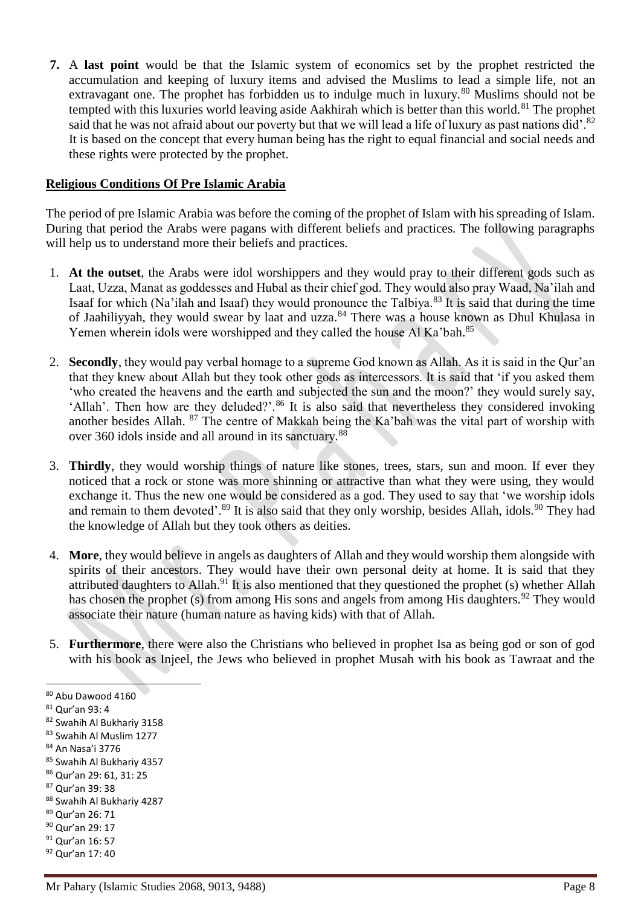**7.** A **last point** would be that the Islamic system of economics set by the prophet restricted the accumulation and keeping of luxury items and advised the Muslims to lead a simple life, not an extravagant one. The prophet has forbidden us to indulge much in luxury.<sup>80</sup> Muslims should not be tempted with this luxuries world leaving aside Aakhirah which is better than this world.<sup>81</sup> The prophet said that he was not afraid about our poverty but that we will lead a life of luxury as past nations did'.<sup>82</sup> It is based on the concept that every human being has the right to equal financial and social needs and these rights were protected by the prophet.

### **Religious Conditions Of Pre Islamic Arabia**

The period of pre Islamic Arabia was before the coming of the prophet of Islam with his spreading of Islam. During that period the Arabs were pagans with different beliefs and practices. The following paragraphs will help us to understand more their beliefs and practices.

- 1. **At the outset**, the Arabs were idol worshippers and they would pray to their different gods such as Laat, Uzza, Manat as goddesses and Hubal as their chief god. They would also pray Waad, Na'ilah and Isaaf for which (Na'ilah and Isaaf) they would pronounce the Talbiya.<sup>83</sup> It is said that during the time of Jaahiliyyah, they would swear by laat and uzza.<sup>84</sup> There was a house known as Dhul Khulasa in Yemen wherein idols were worshipped and they called the house Al Ka'bah.<sup>85</sup>
- 2. **Secondly**, they would pay verbal homage to a supreme God known as Allah. As it is said in the Qur'an that they knew about Allah but they took other gods as intercessors. It is said that 'if you asked them 'who created the heavens and the earth and subjected the sun and the moon?' they would surely say, 'Allah'. Then how are they deluded?'.<sup>86</sup> It is also said that nevertheless they considered invoking another besides Allah. <sup>87</sup> The centre of Makkah being the Ka'bah was the vital part of worship with over 360 idols inside and all around in its sanctuary.<sup>88</sup>
- 3. **Thirdly**, they would worship things of nature like stones, trees, stars, sun and moon. If ever they noticed that a rock or stone was more shinning or attractive than what they were using, they would exchange it. Thus the new one would be considered as a god. They used to say that 'we worship idols and remain to them devoted'.<sup>89</sup> It is also said that they only worship, besides Allah, idols.<sup>90</sup> They had the knowledge of Allah but they took others as deities.
- 4. **More**, they would believe in angels as daughters of Allah and they would worship them alongside with spirits of their ancestors. They would have their own personal deity at home. It is said that they attributed daughters to Allah.<sup>91</sup> It is also mentioned that they questioned the prophet (s) whether Allah has chosen the prophet (s) from among His sons and angels from among His daughters.<sup>92</sup> They would associate their nature (human nature as having kids) with that of Allah.
- 5. **Furthermore**, there were also the Christians who believed in prophet Isa as being god or son of god with his book as Injeel, the Jews who believed in prophet Musah with his book as Tawraat and the

- <sup>84</sup> An Nasa'i 3776
- <sup>85</sup> Swahih Al Bukhariy 4357 <sup>86</sup> Qur'an 29: 61, 31: 25
- <sup>87</sup> Qur'an 39: 38
- 88 Swahih Al Bukhariy 4287
- <sup>89</sup> Qur'an 26: 71
- <sup>90</sup> Qur'an 29: 17
- <sup>91</sup> Qur'an 16: 57
- <sup>92</sup> Qur'an 17: 40

<sup>80</sup> Abu Dawood 4160

<sup>81</sup> Qur'an 93: 4

<sup>82</sup> Swahih Al Bukhariy 3158

<sup>83</sup> Swahih Al Muslim 1277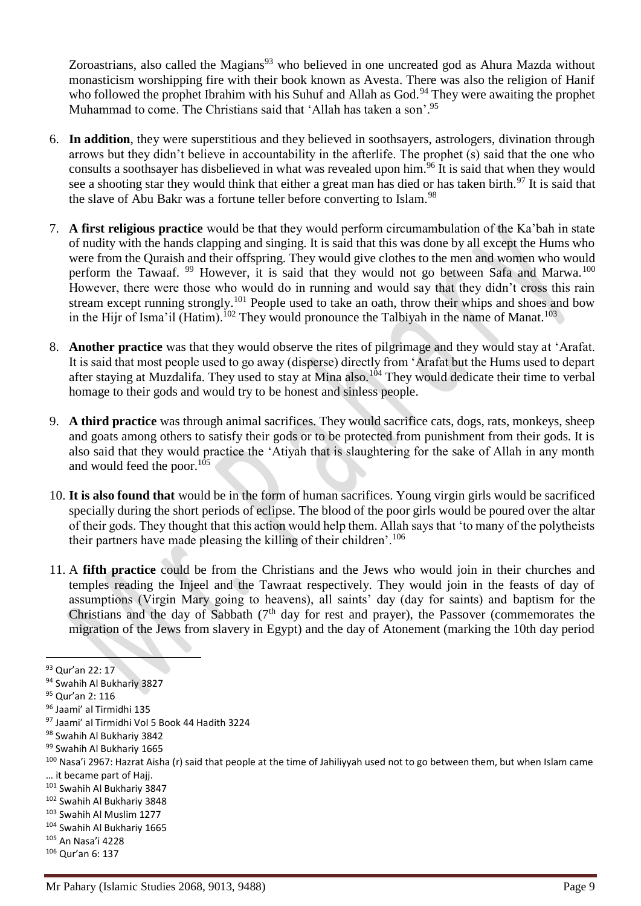Zoroastrians, also called the Magians<sup>93</sup> who believed in one uncreated god as Ahura Mazda without monasticism worshipping fire with their book known as Avesta. There was also the religion of Hanif who followed the prophet Ibrahim with his Suhuf and Allah as God.<sup>94</sup> They were awaiting the prophet Muhammad to come. The Christians said that 'Allah has taken a son'.<sup>95</sup>

- 6. **In addition**, they were superstitious and they believed in soothsayers, astrologers, divination through arrows but they didn't believe in accountability in the afterlife. The prophet (s) said that the one who consults a soothsayer has disbelieved in what was revealed upon him.<sup>96</sup> It is said that when they would see a shooting star they would think that either a great man has died or has taken birth.<sup>97</sup> It is said that the slave of Abu Bakr was a fortune teller before converting to Islam.<sup>98</sup>
- 7. **A first religious practice** would be that they would perform circumambulation of the Ka'bah in state of nudity with the hands clapping and singing. It is said that this was done by all except the Hums who were from the Quraish and their offspring. They would give clothes to the men and women who would perform the Tawaaf. <sup>99</sup> However, it is said that they would not go between Safa and Marwa.<sup>100</sup> However, there were those who would do in running and would say that they didn't cross this rain stream except running strongly.<sup>101</sup> People used to take an oath, throw their whips and shoes and bow in the Hijr of Isma'il (Hatim).<sup>102</sup> They would pronounce the Talbiyah in the name of Manat.<sup>103</sup>
- 8. **Another practice** was that they would observe the rites of pilgrimage and they would stay at 'Arafat. It is said that most people used to go away (disperse) directly from 'Arafat but the Hums used to depart after staying at Muzdalifa. They used to stay at Mina also.<sup>104</sup> They would dedicate their time to verbal homage to their gods and would try to be honest and sinless people.
- 9. **A third practice** was through animal sacrifices. They would sacrifice cats, dogs, rats, monkeys, sheep and goats among others to satisfy their gods or to be protected from punishment from their gods. It is also said that they would practice the 'Atiyah that is slaughtering for the sake of Allah in any month and would feed the poor. $105$
- 10. **It is also found that** would be in the form of human sacrifices. Young virgin girls would be sacrificed specially during the short periods of eclipse. The blood of the poor girls would be poured over the altar of their gods. They thought that this action would help them. Allah says that 'to many of the polytheists their partners have made pleasing the killing of their children'.<sup>106</sup>
- 11. A **fifth practice** could be from the Christians and the Jews who would join in their churches and temples reading the Injeel and the Tawraat respectively. They would join in the feasts of day of assumptions (Virgin Mary going to heavens), all saints' day (day for saints) and baptism for the Christians and the day of Sabbath  $(7<sup>th</sup>$  day for rest and prayer), the Passover (commemorates the migration of the Jews from slavery in Egypt) and the day of Atonement (marking the 10th day period

- <sup>103</sup> Swahih Al Muslim 1277
- <sup>104</sup> Swahih Al Bukhariy 1665
- <sup>105</sup> An Nasa'i 4228
- <sup>106</sup> Qur'an 6: 137

<sup>93</sup> Qur'an 22: 17

<sup>94</sup> Swahih Al Bukhariy 3827

<sup>95</sup> Qur'an 2: 116

<sup>96</sup> Jaami' al Tirmidhi 135

<sup>97</sup> Jaami' al Tirmidhi Vol 5 Book 44 Hadith 3224

<sup>98</sup> Swahih Al Bukhariy 3842

<sup>99</sup> Swahih Al Bukhariy 1665

<sup>&</sup>lt;sup>100</sup> Nasa'i 2967: Hazrat Aisha (r) said that people at the time of Jahiliyyah used not to go between them, but when Islam came … it became part of Hajj.

<sup>101</sup> Swahih Al Bukhariy 3847

<sup>102</sup> Swahih Al Bukhariy 3848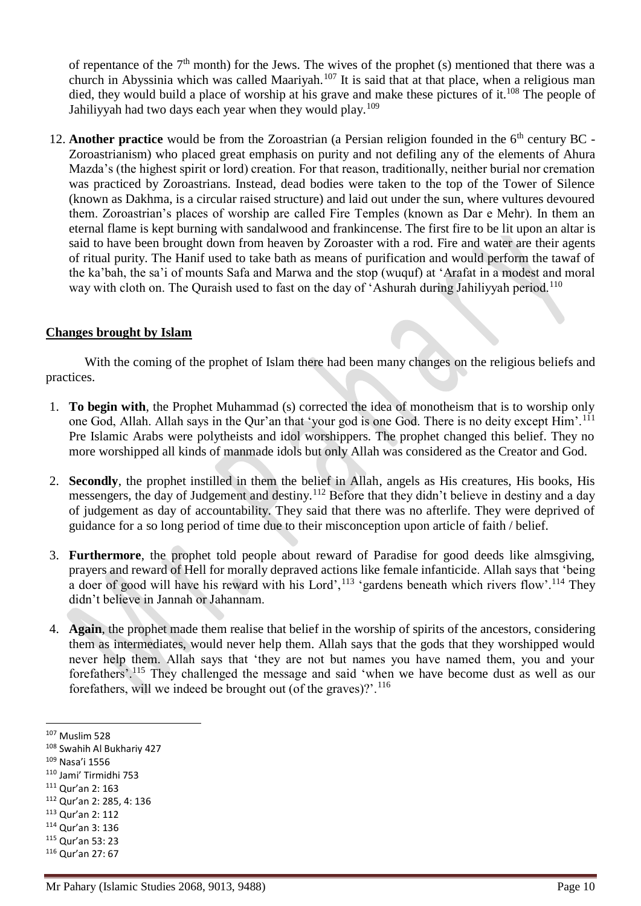of repentance of the  $7<sup>th</sup>$  month) for the Jews. The wives of the prophet (s) mentioned that there was a church in Abyssinia which was called Maariyah.<sup>107</sup> It is said that at that place, when a religious man died, they would build a place of worship at his grave and make these pictures of it.<sup>108</sup> The people of Jahiliyyah had two days each year when they would play.<sup>109</sup>

12. **Another practice** would be from the Zoroastrian (a Persian religion founded in the 6<sup>th</sup> century BC -Zoroastrianism) who placed great emphasis on purity and not defiling any of the elements of Ahura Mazda's (the highest spirit or lord) creation. For that reason, traditionally, neither burial nor cremation was practiced by Zoroastrians. Instead, dead bodies were taken to the top of the Tower of Silence (known as Dakhma, is a circular raised structure) and laid out under the sun, where vultures devoured them. Zoroastrian's places of worship are called Fire Temples (known as Dar e Mehr). In them an eternal flame is kept burning with sandalwood and frankincense. The first fire to be lit upon an altar is said to have been brought down from heaven by Zoroaster with a rod. Fire and water are their agents of ritual purity. The Hanif used to take bath as means of purification and would perform the tawaf of the ka'bah, the sa'i of mounts Safa and Marwa and the stop (wuquf) at 'Arafat in a modest and moral way with cloth on. The Quraish used to fast on the day of 'Ashurah during Jahiliyyah period.<sup>110</sup>

## **Changes brought by Islam**

With the coming of the prophet of Islam there had been many changes on the religious beliefs and practices.

- 1. **To begin with**, the Prophet Muhammad (s) corrected the idea of monotheism that is to worship only one God, Allah. Allah says in the Our'an that 'your god is one God. There is no deity except Him'.<sup>111</sup> Pre Islamic Arabs were polytheists and idol worshippers. The prophet changed this belief. They no more worshipped all kinds of manmade idols but only Allah was considered as the Creator and God.
- 2. **Secondly**, the prophet instilled in them the belief in Allah, angels as His creatures, His books, His messengers, the day of Judgement and destiny.<sup>112</sup> Before that they didn't believe in destiny and a day of judgement as day of accountability. They said that there was no afterlife. They were deprived of guidance for a so long period of time due to their misconception upon article of faith / belief.
- 3. **Furthermore**, the prophet told people about reward of Paradise for good deeds like almsgiving, prayers and reward of Hell for morally depraved actions like female infanticide. Allah says that 'being a doer of good will have his reward with his Lord',  $^{113}$  'gardens beneath which rivers flow'.  $^{114}$  They didn't believe in Jannah or Jahannam.
- 4. **Again**, the prophet made them realise that belief in the worship of spirits of the ancestors, considering them as intermediates, would never help them. Allah says that the gods that they worshipped would never help them. Allah says that 'they are not but names you have named them, you and your forefathers'.<sup>115</sup> They challenged the message and said 'when we have become dust as well as our forefathers, will we indeed be brought out (of the graves)? $1^{16}$

1

<sup>114</sup> Qur'an 3: 136

<sup>107</sup> Muslim 528

<sup>108</sup> Swahih Al Bukhariy 427

<sup>109</sup> Nasa'i 1556

<sup>110</sup> Jami' Tirmidhi 753

<sup>111</sup> Qur'an 2: 163

<sup>112</sup> Qur'an 2: 285, 4: 136

<sup>113</sup> Qur'an 2: 112

<sup>115</sup> Qur'an 53: 23

<sup>116</sup> Qur'an 27: 67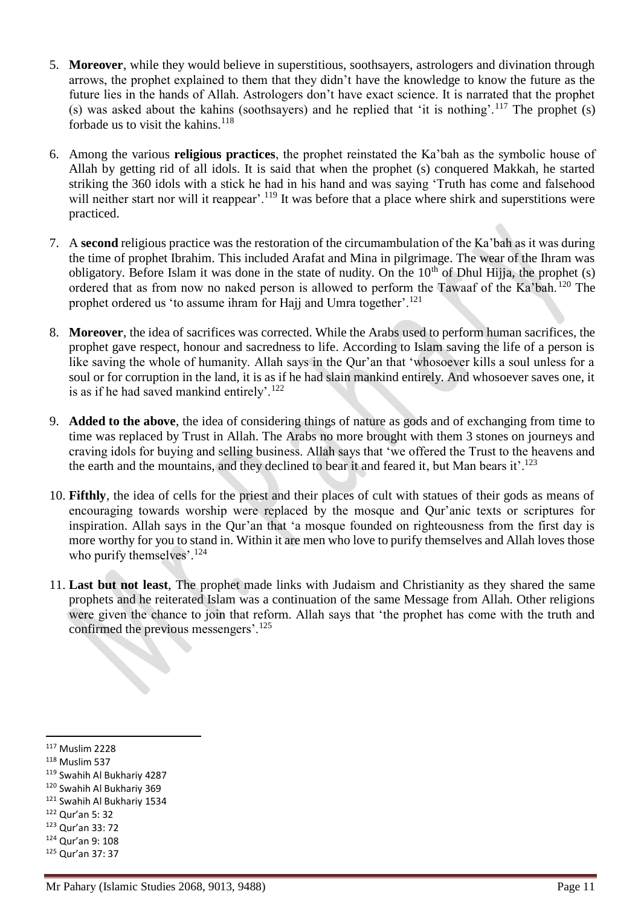- 5. **Moreover**, while they would believe in superstitious, soothsayers, astrologers and divination through arrows, the prophet explained to them that they didn't have the knowledge to know the future as the future lies in the hands of Allah. Astrologers don't have exact science. It is narrated that the prophet (s) was asked about the kahins (soothsayers) and he replied that 'it is nothing'.<sup>117</sup> The prophet  $(s)$ forbade us to visit the kahins.<sup>118</sup>
- 6. Among the various **religious practices**, the prophet reinstated the Ka'bah as the symbolic house of Allah by getting rid of all idols. It is said that when the prophet (s) conquered Makkah, he started striking the 360 idols with a stick he had in his hand and was saying 'Truth has come and falsehood will neither start nor will it reappear'.<sup>119</sup> It was before that a place where shirk and superstitions were practiced.
- 7. A **second** religious practice was the restoration of the circumambulation of the Ka'bah as it was during the time of prophet Ibrahim. This included Arafat and Mina in pilgrimage. The wear of the Ihram was obligatory. Before Islam it was done in the state of nudity. On the  $10<sup>th</sup>$  of Dhul Hijja, the prophet (s) ordered that as from now no naked person is allowed to perform the Tawaaf of the Ka'bah.<sup>120</sup> The prophet ordered us 'to assume ihram for Hajj and Umra together'.<sup>121</sup>
- 8. **Moreover**, the idea of sacrifices was corrected. While the Arabs used to perform human sacrifices, the prophet gave respect, honour and sacredness to life. According to Islam saving the life of a person is like saving the whole of humanity. Allah says in the Qur'an that 'whosoever kills a soul unless for a soul or for corruption in the land, it is as if he had slain mankind entirely. And whosoever saves one, it is as if he had saved mankind entirely'.<sup>122</sup>
- 9. **Added to the above**, the idea of considering things of nature as gods and of exchanging from time to time was replaced by Trust in Allah. The Arabs no more brought with them 3 stones on journeys and craving idols for buying and selling business. Allah says that 'we offered the Trust to the heavens and the earth and the mountains, and they declined to bear it and feared it, but Man bears it'.<sup>123</sup>
- 10. **Fifthly**, the idea of cells for the priest and their places of cult with statues of their gods as means of encouraging towards worship were replaced by the mosque and Qur'anic texts or scriptures for inspiration. Allah says in the Qur'an that 'a mosque founded on righteousness from the first day is more worthy for you to stand in. Within it are men who love to purify themselves and Allah loves those who purify themselves'.<sup>124</sup>
- 11. **Last but not least**, The prophet made links with Judaism and Christianity as they shared the same prophets and he reiterated Islam was a continuation of the same Message from Allah. Other religions were given the chance to join that reform. Allah says that 'the prophet has come with the truth and confirmed the previous messengers'.<sup>125</sup>

- <sup>121</sup> Swahih Al Bukhariy 1534
- <sup>122</sup> Qur'an 5: 32
- <sup>123</sup> Qur'an 33: 72
- <sup>124</sup> Qur'an 9: 108
- <sup>125</sup> Qur'an 37: 37

<sup>117</sup> Muslim 2228

 $118$  Muslim 537

<sup>119</sup> Swahih Al Bukhariy 4287

<sup>120</sup> Swahih Al Bukhariy 369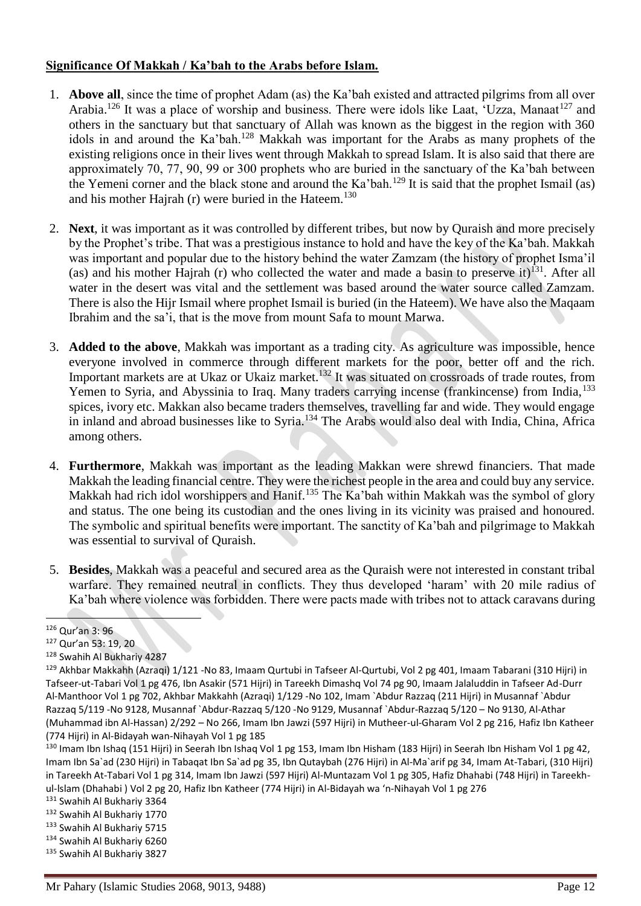## **Significance Of Makkah / Ka'bah to the Arabs before Islam.**

- 1. **Above all**, since the time of prophet Adam (as) the Ka'bah existed and attracted pilgrims from all over Arabia.<sup>126</sup> It was a place of worship and business. There were idols like Laat, 'Uzza, Manaat<sup>127</sup> and others in the sanctuary but that sanctuary of Allah was known as the biggest in the region with 360 idols in and around the Ka'bah.<sup>128</sup> Makkah was important for the Arabs as many prophets of the existing religions once in their lives went through Makkah to spread Islam. It is also said that there are approximately 70, 77, 90, 99 or 300 prophets who are buried in the sanctuary of the Ka'bah between the Yemeni corner and the black stone and around the Ka'bah.<sup>129</sup> It is said that the prophet Ismail (as) and his mother Hajrah (r) were buried in the Hateem. $130$
- 2. **Next**, it was important as it was controlled by different tribes, but now by Quraish and more precisely by the Prophet's tribe. That was a prestigious instance to hold and have the key of the Ka'bah. Makkah was important and popular due to the history behind the water Zamzam (the history of prophet Isma'il (as) and his mother Hajrah (r) who collected the water and made a basin to preserve it)<sup>131</sup>. After all water in the desert was vital and the settlement was based around the water source called Zamzam. There is also the Hijr Ismail where prophet Ismail is buried (in the Hateem). We have also the Maqaam Ibrahim and the sa'i, that is the move from mount Safa to mount Marwa.
- 3. **Added to the above**, Makkah was important as a trading city. As agriculture was impossible, hence everyone involved in commerce through different markets for the poor, better off and the rich. Important markets are at Ukaz or Ukaiz market.<sup>132</sup> It was situated on crossroads of trade routes, from Yemen to Syria, and Abyssinia to Iraq. Many traders carrying incense (frankincense) from India, <sup>133</sup> spices, ivory etc. Makkan also became traders themselves, travelling far and wide. They would engage in inland and abroad businesses like to Syria.<sup>134</sup> The Arabs would also deal with India, China, Africa among others.
- 4. **Furthermore**, Makkah was important as the leading Makkan were shrewd financiers. That made Makkah the leading financial centre. They were the richest people in the area and could buy any service. Makkah had rich idol worshippers and Hanif.<sup>135</sup> The Ka'bah within Makkah was the symbol of glory and status. The one being its custodian and the ones living in its vicinity was praised and honoured. The symbolic and spiritual benefits were important. The sanctity of Ka'bah and pilgrimage to Makkah was essential to survival of Quraish.
- 5. **Besides**, Makkah was a peaceful and secured area as the Quraish were not interested in constant tribal warfare. They remained neutral in conflicts. They thus developed 'haram' with 20 mile radius of Ka'bah where violence was forbidden. There were pacts made with tribes not to attack caravans during

<sup>126</sup> Qur'an 3: 96

<sup>127</sup> Qur'an 53: 19, 20

<sup>128</sup> Swahih Al Bukhariy 4287

<sup>&</sup>lt;sup>129</sup> Akhbar Makkahh (Azraqi) 1/121 -No 83, Imaam Qurtubi in Tafseer Al-Qurtubi, Vol 2 pg 401, Imaam Tabarani (310 Hijri) in Tafseer-ut-Tabari Vol 1 pg 476, Ibn Asakir (571 Hijri) in Tareekh Dimashq Vol 74 pg 90, Imaam Jalaluddin in Tafseer Ad-Durr Al-Manthoor Vol 1 pg 702, Akhbar Makkahh (Azraqi) 1/129 -No 102, Imam `Abdur Razzaq (211 Hijri) in Musannaf `Abdur Razzaq 5/119 -No 9128, Musannaf `Abdur-Razzaq 5/120 -No 9129, Musannaf `Abdur-Razzaq 5/120 – No 9130, Al-Athar (Muhammad ibn Al-Hassan) 2/292 – No 266, Imam Ibn Jawzi (597 Hijri) in Mutheer-ul-Gharam Vol 2 pg 216, Hafiz Ibn Katheer (774 Hijri) in Al-Bidayah wan-Nihayah Vol 1 pg 185

<sup>&</sup>lt;sup>130</sup> Imam Ibn Ishaq (151 Hijri) in Seerah Ibn Ishaq Vol 1 pg 153, Imam Ibn Hisham (183 Hijri) in Seerah Ibn Hisham Vol 1 pg 42, Imam Ibn Sa`ad (230 Hijri) in Tabaqat Ibn Sa`ad pg 35, Ibn Qutaybah (276 Hijri) in Al-Ma`arif pg 34, Imam At-Tabari, (310 Hijri) in Tareekh At-Tabari Vol 1 pg 314, Imam Ibn Jawzi (597 Hijri) Al-Muntazam Vol 1 pg 305, Hafiz Dhahabi (748 Hijri) in Tareekhul-lslam (Dhahabi ) Vol 2 pg 20, Hafiz Ibn Katheer (774 Hijri) in Al-Bidayah wa 'n-Nihayah Vol 1 pg 276

<sup>131</sup> Swahih Al Bukhariy 3364

<sup>132</sup> Swahih Al Bukhariy 1770

<sup>133</sup> Swahih Al Bukhariy 5715

<sup>134</sup> Swahih Al Bukhariy 6260

<sup>135</sup> Swahih Al Bukhariy 3827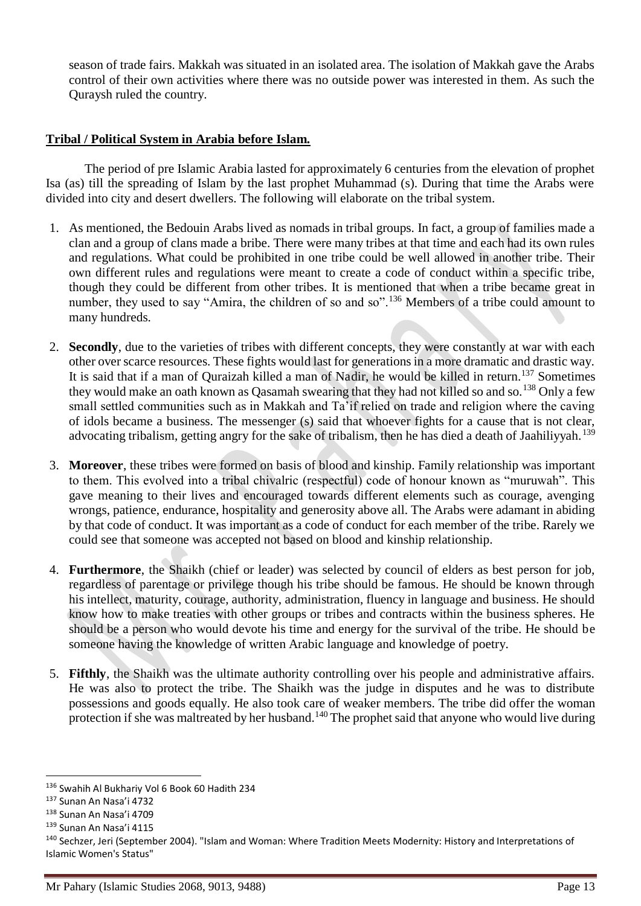season of trade fairs. Makkah was situated in an isolated area. The isolation of Makkah gave the Arabs control of their own activities where there was no outside power was interested in them. As such the Quraysh ruled the country.

## **Tribal / Political System in Arabia before Islam.**

The period of pre Islamic Arabia lasted for approximately 6 centuries from the elevation of prophet Isa (as) till the spreading of Islam by the last prophet Muhammad (s). During that time the Arabs were divided into city and desert dwellers. The following will elaborate on the tribal system.

- 1. As mentioned, the Bedouin Arabs lived as nomads in tribal groups. In fact, a group of families made a clan and a group of clans made a bribe. There were many tribes at that time and each had its own rules and regulations. What could be prohibited in one tribe could be well allowed in another tribe. Their own different rules and regulations were meant to create a code of conduct within a specific tribe, though they could be different from other tribes. It is mentioned that when a tribe became great in number, they used to say "Amira, the children of so and so".<sup>136</sup> Members of a tribe could amount to many hundreds.
- 2. **Secondly**, due to the varieties of tribes with different concepts, they were constantly at war with each other over scarce resources. These fights would last for generations in a more dramatic and drastic way. It is said that if a man of Quraizah killed a man of Nadir, he would be killed in return.<sup>137</sup> Sometimes they would make an oath known as Qasamah swearing that they had not killed so and so.<sup>138</sup> Only a few small settled communities such as in Makkah and Ta'if relied on trade and religion where the caving of idols became a business. The messenger (s) said that whoever fights for a cause that is not clear, advocating tribalism, getting angry for the sake of tribalism, then he has died a death of Jaahiliyyah.<sup>139</sup>
- 3. **Moreover**, these tribes were formed on basis of blood and kinship. Family relationship was important to them. This evolved into a tribal chivalric (respectful) code of honour known as "muruwah". This gave meaning to their lives and encouraged towards different elements such as courage, avenging wrongs, patience, endurance, hospitality and generosity above all. The Arabs were adamant in abiding by that code of conduct. It was important as a code of conduct for each member of the tribe. Rarely we could see that someone was accepted not based on blood and kinship relationship.
- 4. **Furthermore**, the Shaikh (chief or leader) was selected by council of elders as best person for job, regardless of parentage or privilege though his tribe should be famous. He should be known through his intellect, maturity, courage, authority, administration, fluency in language and business. He should know how to make treaties with other groups or tribes and contracts within the business spheres. He should be a person who would devote his time and energy for the survival of the tribe. He should be someone having the knowledge of written Arabic language and knowledge of poetry.
- 5. **Fifthly**, the Shaikh was the ultimate authority controlling over his people and administrative affairs. He was also to protect the tribe. The Shaikh was the judge in disputes and he was to distribute possessions and goods equally. He also took care of weaker members. The tribe did offer the woman protection if she was maltreated by her husband.<sup>140</sup> The prophet said that anyone who would live during

<sup>136</sup> Swahih Al Bukhariy Vol 6 Book 60 Hadith 234

<sup>137</sup> Sunan An Nasa'i 4732

<sup>138</sup> Sunan An Nasa'i 4709

<sup>139</sup> Sunan An Nasa'i 4115

<sup>140</sup> Sechzer, Jeri (September 2004). "Islam and Woman: Where Tradition Meets Modernity: History and Interpretations of Islamic Women's Status"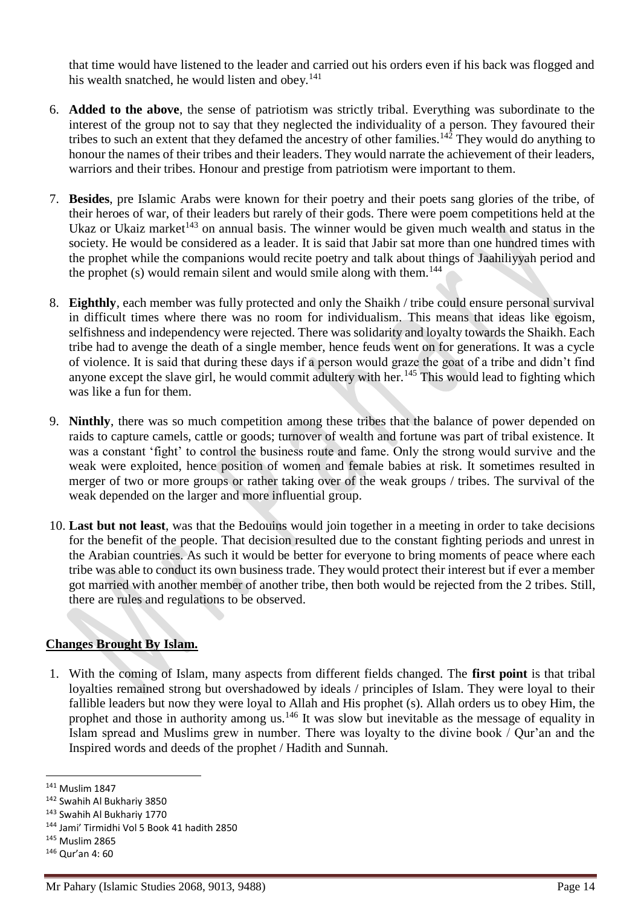that time would have listened to the leader and carried out his orders even if his back was flogged and his wealth snatched, he would listen and obey. $141$ 

- 6. **Added to the above**, the sense of patriotism was strictly tribal. Everything was subordinate to the interest of the group not to say that they neglected the individuality of a person. They favoured their tribes to such an extent that they defamed the ancestry of other families.<sup>142</sup> They would do anything to honour the names of their tribes and their leaders. They would narrate the achievement of their leaders, warriors and their tribes. Honour and prestige from patriotism were important to them.
- 7. **Besides**, pre Islamic Arabs were known for their poetry and their poets sang glories of the tribe, of their heroes of war, of their leaders but rarely of their gods. There were poem competitions held at the Ukaz or Ukaiz market<sup> $143$ </sup> on annual basis. The winner would be given much wealth and status in the society. He would be considered as a leader. It is said that Jabir sat more than one hundred times with the prophet while the companions would recite poetry and talk about things of Jaahiliyyah period and the prophet  $(s)$  would remain silent and would smile along with them.<sup>144</sup>
- 8. **Eighthly**, each member was fully protected and only the Shaikh / tribe could ensure personal survival in difficult times where there was no room for individualism. This means that ideas like egoism, selfishness and independency were rejected. There was solidarity and loyalty towards the Shaikh. Each tribe had to avenge the death of a single member, hence feuds went on for generations. It was a cycle of violence. It is said that during these days if a person would graze the goat of a tribe and didn't find anyone except the slave girl, he would commit adultery with her.<sup>145</sup> This would lead to fighting which was like a fun for them.
- 9. **Ninthly**, there was so much competition among these tribes that the balance of power depended on raids to capture camels, cattle or goods; turnover of wealth and fortune was part of tribal existence. It was a constant 'fight' to control the business route and fame. Only the strong would survive and the weak were exploited, hence position of women and female babies at risk. It sometimes resulted in merger of two or more groups or rather taking over of the weak groups / tribes. The survival of the weak depended on the larger and more influential group.
- 10. **Last but not least**, was that the Bedouins would join together in a meeting in order to take decisions for the benefit of the people. That decision resulted due to the constant fighting periods and unrest in the Arabian countries. As such it would be better for everyone to bring moments of peace where each tribe was able to conduct its own business trade. They would protect their interest but if ever a member got married with another member of another tribe, then both would be rejected from the 2 tribes. Still, there are rules and regulations to be observed.

# **Changes Brought By Islam.**

1. With the coming of Islam, many aspects from different fields changed. The **first point** is that tribal loyalties remained strong but overshadowed by ideals / principles of Islam. They were loyal to their fallible leaders but now they were loyal to Allah and His prophet (s). Allah orders us to obey Him, the prophet and those in authority among us.<sup>146</sup> It was slow but inevitable as the message of equality in Islam spread and Muslims grew in number. There was loyalty to the divine book / Qur'an and the Inspired words and deeds of the prophet / Hadith and Sunnah.

<sup>141</sup> Muslim 1847

<sup>142</sup> Swahih Al Bukhariy 3850

<sup>143</sup> Swahih Al Bukhariy 1770

<sup>144</sup> Jami' Tirmidhi Vol 5 Book 41 hadith 2850

<sup>145</sup> Muslim 2865

<sup>146</sup> Qur'an 4: 60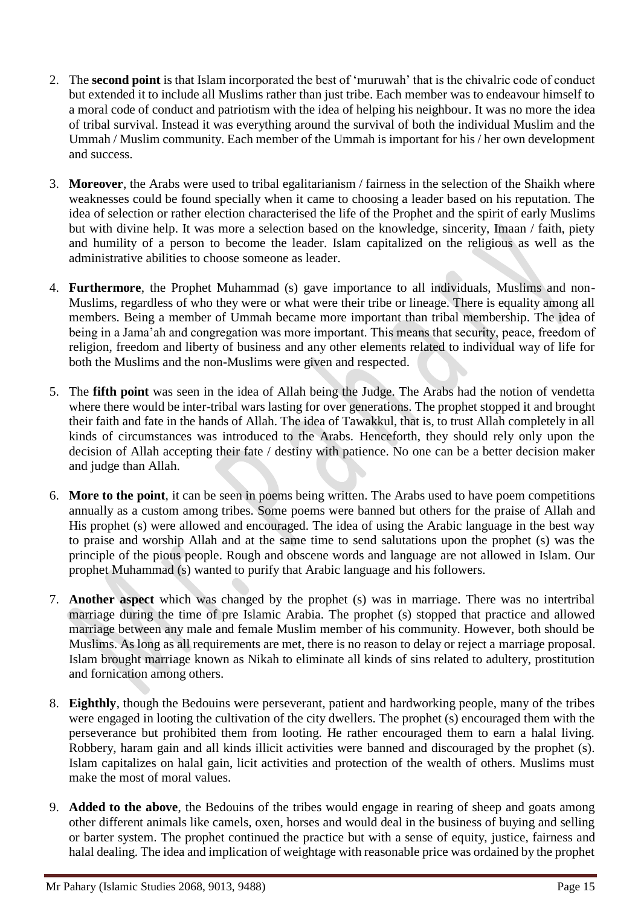- 2. The **second point** is that Islam incorporated the best of 'muruwah' that is the chivalric code of conduct but extended it to include all Muslims rather than just tribe. Each member was to endeavour himself to a moral code of conduct and patriotism with the idea of helping his neighbour. It was no more the idea of tribal survival. Instead it was everything around the survival of both the individual Muslim and the Ummah / Muslim community. Each member of the Ummah is important for his / her own development and success.
- 3. **Moreover**, the Arabs were used to tribal egalitarianism / fairness in the selection of the Shaikh where weaknesses could be found specially when it came to choosing a leader based on his reputation. The idea of selection or rather election characterised the life of the Prophet and the spirit of early Muslims but with divine help. It was more a selection based on the knowledge, sincerity, Imaan / faith, piety and humility of a person to become the leader. Islam capitalized on the religious as well as the administrative abilities to choose someone as leader.
- 4. **Furthermore**, the Prophet Muhammad (s) gave importance to all individuals, Muslims and non-Muslims, regardless of who they were or what were their tribe or lineage. There is equality among all members. Being a member of Ummah became more important than tribal membership. The idea of being in a Jama'ah and congregation was more important. This means that security, peace, freedom of religion, freedom and liberty of business and any other elements related to individual way of life for both the Muslims and the non-Muslims were given and respected.
- 5. The **fifth point** was seen in the idea of Allah being the Judge. The Arabs had the notion of vendetta where there would be inter-tribal wars lasting for over generations. The prophet stopped it and brought their faith and fate in the hands of Allah. The idea of Tawakkul, that is, to trust Allah completely in all kinds of circumstances was introduced to the Arabs. Henceforth, they should rely only upon the decision of Allah accepting their fate / destiny with patience. No one can be a better decision maker and judge than Allah.
- 6. **More to the point**, it can be seen in poems being written. The Arabs used to have poem competitions annually as a custom among tribes. Some poems were banned but others for the praise of Allah and His prophet (s) were allowed and encouraged. The idea of using the Arabic language in the best way to praise and worship Allah and at the same time to send salutations upon the prophet (s) was the principle of the pious people. Rough and obscene words and language are not allowed in Islam. Our prophet Muhammad (s) wanted to purify that Arabic language and his followers.
- 7. **Another aspect** which was changed by the prophet (s) was in marriage. There was no intertribal marriage during the time of pre Islamic Arabia. The prophet (s) stopped that practice and allowed marriage between any male and female Muslim member of his community. However, both should be Muslims. As long as all requirements are met, there is no reason to delay or reject a marriage proposal. Islam brought marriage known as Nikah to eliminate all kinds of sins related to adultery, prostitution and fornication among others.
- 8. **Eighthly**, though the Bedouins were perseverant, patient and hardworking people, many of the tribes were engaged in looting the cultivation of the city dwellers. The prophet (s) encouraged them with the perseverance but prohibited them from looting. He rather encouraged them to earn a halal living. Robbery, haram gain and all kinds illicit activities were banned and discouraged by the prophet (s). Islam capitalizes on halal gain, licit activities and protection of the wealth of others. Muslims must make the most of moral values.
- 9. **Added to the above**, the Bedouins of the tribes would engage in rearing of sheep and goats among other different animals like camels, oxen, horses and would deal in the business of buying and selling or barter system. The prophet continued the practice but with a sense of equity, justice, fairness and halal dealing. The idea and implication of weightage with reasonable price was ordained by the prophet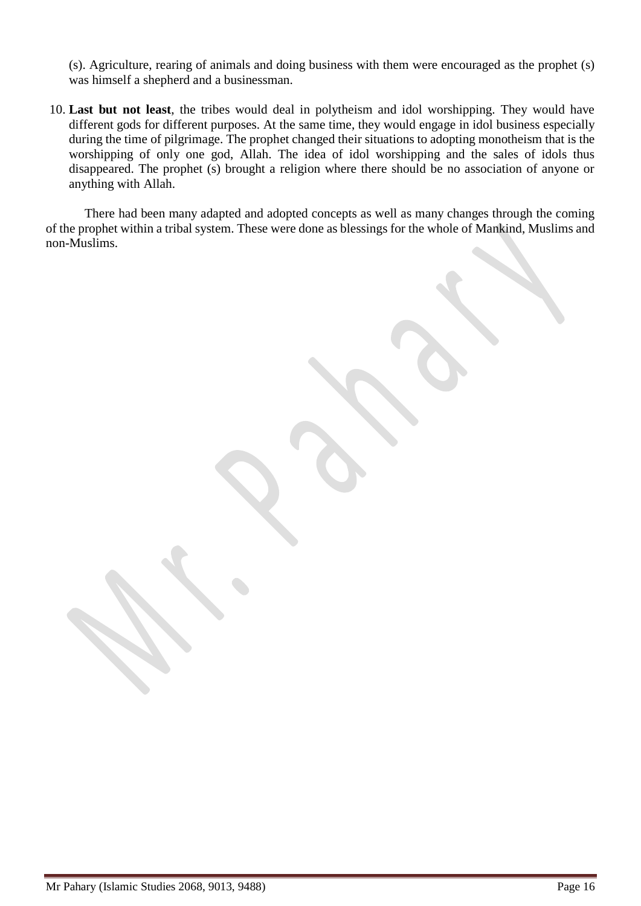(s). Agriculture, rearing of animals and doing business with them were encouraged as the prophet (s) was himself a shepherd and a businessman.

10. **Last but not least**, the tribes would deal in polytheism and idol worshipping. They would have different gods for different purposes. At the same time, they would engage in idol business especially during the time of pilgrimage. The prophet changed their situations to adopting monotheism that is the worshipping of only one god, Allah. The idea of idol worshipping and the sales of idols thus disappeared. The prophet (s) brought a religion where there should be no association of anyone or anything with Allah.

There had been many adapted and adopted concepts as well as many changes through the coming of the prophet within a tribal system. These were done as blessings for the whole of Mankind, Muslims and non-Muslims.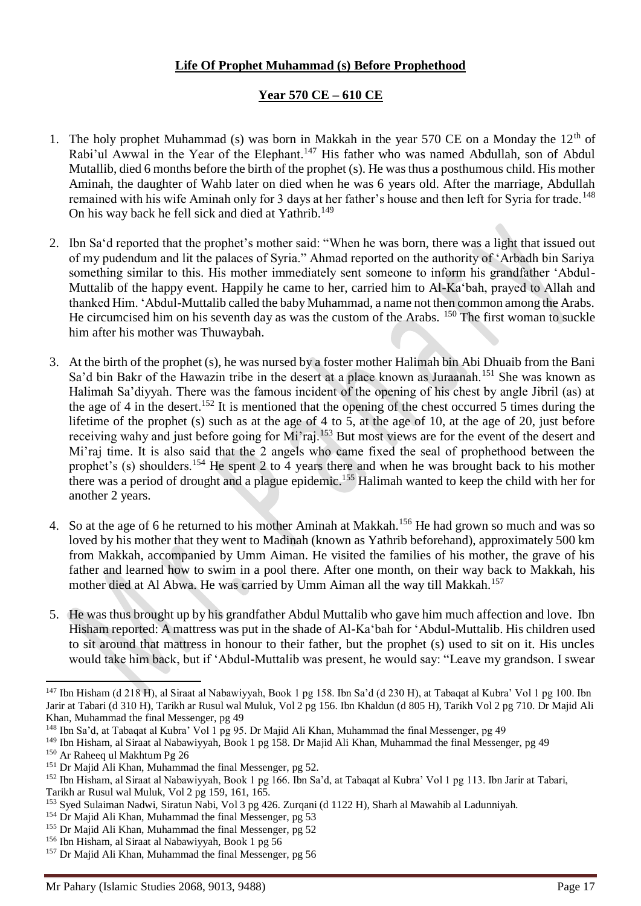# **Life Of Prophet Muhammad (s) Before Prophethood**

# **Year 570 CE – 610 CE**

- 1. The holy prophet Muhammad (s) was born in Makkah in the year 570 CE on a Monday the  $12<sup>th</sup>$  of Rabi'ul Awwal in the Year of the Elephant.<sup>147</sup> His father who was named Abdullah, son of Abdul Mutallib, died 6 months before the birth of the prophet (s). He was thus a posthumous child. His mother Aminah, the daughter of Wahb later on died when he was 6 years old. After the marriage, Abdullah remained with his wife Aminah only for 3 days at her father's house and then left for Syria for trade.<sup>148</sup> On his way back he fell sick and died at Yathrib.<sup>149</sup>
- 2. Ibn Sa'd reported that the prophet's mother said: "When he was born, there was a light that issued out of my pudendum and lit the palaces of Syria." Ahmad reported on the authority of 'Arbadh bin Sariya something similar to this. His mother immediately sent someone to inform his grandfather 'Abdul-Muttalib of the happy event. Happily he came to her, carried him to Al-Ka'bah, prayed to Allah and thanked Him. 'Abdul-Muttalib called the baby Muhammad, a name not then common among the Arabs. He circumcised him on his seventh day as was the custom of the Arabs.  $150$  The first woman to suckle him after his mother was Thuwaybah.
- 3. At the birth of the prophet (s), he was nursed by a foster mother Halimah bin Abi Dhuaib from the Bani Sa'd bin Bakr of the Hawazin tribe in the desert at a place known as Juraanah.<sup>151</sup> She was known as Halimah Sa'diyyah. There was the famous incident of the opening of his chest by angle Jibril (as) at the age of 4 in the desert.<sup>152</sup> It is mentioned that the opening of the chest occurred 5 times during the lifetime of the prophet (s) such as at the age of 4 to 5, at the age of 10, at the age of 20, just before receiving wahy and just before going for Mi'raj.<sup>153</sup> But most views are for the event of the desert and Mi'raj time. It is also said that the 2 angels who came fixed the seal of prophethood between the prophet's (s) shoulders.<sup>154</sup> He spent 2 to  $\frac{3}{4}$  years there and when he was brought back to his mother there was a period of drought and a plague epidemic.<sup>155</sup> Halimah wanted to keep the child with her for another 2 years.
- 4. So at the age of 6 he returned to his mother Aminah at Makkah.<sup>156</sup> He had grown so much and was so loved by his mother that they went to Madinah (known as Yathrib beforehand), approximately 500 km from Makkah, accompanied by Umm Aiman. He visited the families of his mother, the grave of his father and learned how to swim in a pool there. After one month, on their way back to Makkah, his mother died at Al Abwa. He was carried by Umm Aiman all the way till Makkah.<sup>157</sup>
- 5. He was thus brought up by his grandfather Abdul Muttalib who gave him much affection and love. Ibn Hisham reported: A mattress was put in the shade of Al-Ka'bah for 'Abdul-Muttalib. His children used to sit around that mattress in honour to their father, but the prophet (s) used to sit on it. His uncles would take him back, but if 'Abdul-Muttalib was present, he would say: "Leave my grandson. I swear

<sup>147</sup> Ibn Hisham (d 218 H), al Siraat al Nabawiyyah, Book 1 pg 158. Ibn Sa'd (d 230 H), at Tabaqat al Kubra' Vol 1 pg 100. Ibn Jarir at Tabari (d 310 H), Tarikh ar Rusul wal Muluk, Vol 2 pg 156. Ibn Khaldun (d 805 H), Tarikh Vol 2 pg 710. Dr Majid Ali Khan, Muhammad the final Messenger, pg 49

<sup>&</sup>lt;sup>148</sup> Ibn Sa'd, at Tabaqat al Kubra' Vol 1 pg 95. Dr Majid Ali Khan, Muhammad the final Messenger, pg 49

<sup>149</sup> Ibn Hisham, al Siraat al Nabawiyyah, Book 1 pg 158. Dr Majid Ali Khan, Muhammad the final Messenger, pg 49

<sup>150</sup> Ar Raheeq ul Makhtum Pg 26

<sup>&</sup>lt;sup>151</sup> Dr Majid Ali Khan, Muhammad the final Messenger, pg 52.

<sup>152</sup> Ibn Hisham, al Siraat al Nabawiyyah, Book 1 pg 166. Ibn Sa'd, at Tabaqat al Kubra' Vol 1 pg 113. Ibn Jarir at Tabari, Tarikh ar Rusul wal Muluk, Vol 2 pg 159, 161, 165.

<sup>153</sup> Syed Sulaiman Nadwi, Siratun Nabi, Vol 3 pg 426. Zurqani (d 1122 H), Sharh al Mawahib al Ladunniyah.

<sup>&</sup>lt;sup>154</sup> Dr Majid Ali Khan, Muhammad the final Messenger, pg 53

<sup>&</sup>lt;sup>155</sup> Dr Majid Ali Khan, Muhammad the final Messenger, pg 52

<sup>156</sup> Ibn Hisham, al Siraat al Nabawiyyah, Book 1 pg 56

<sup>157</sup> Dr Majid Ali Khan, Muhammad the final Messenger, pg 56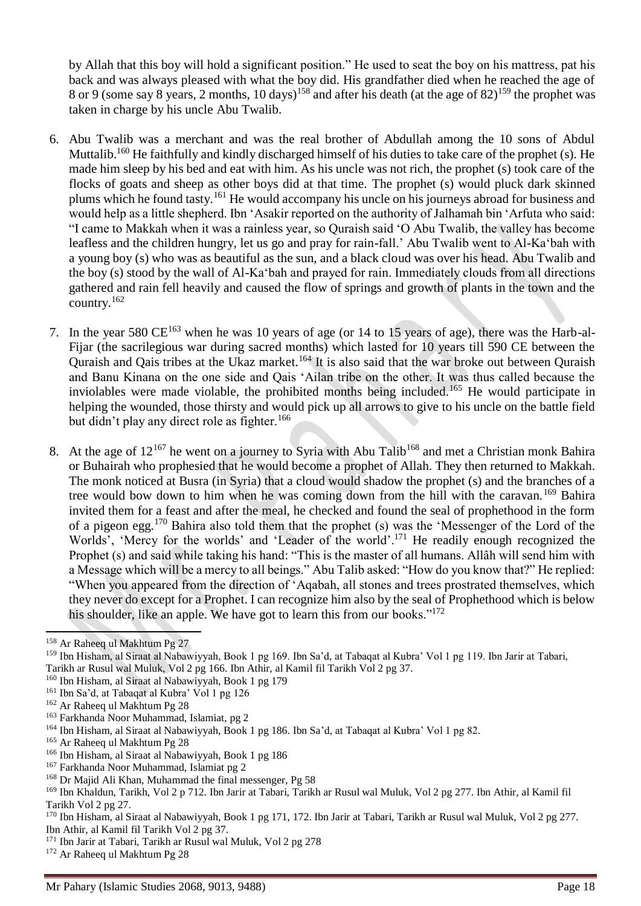by Allah that this boy will hold a significant position." He used to seat the boy on his mattress, pat his back and was always pleased with what the boy did. His grandfather died when he reached the age of 8 or 9 (some say 8 years, 2 months, 10 days)<sup>158</sup> and after his death (at the age of 82)<sup>159</sup> the prophet was taken in charge by his uncle Abu Twalib.

- 6. Abu Twalib was a merchant and was the real brother of Abdullah among the 10 sons of Abdul Muttalib.<sup>160</sup> He faithfully and kindly discharged himself of his duties to take care of the prophet (s). He made him sleep by his bed and eat with him. As his uncle was not rich, the prophet (s) took care of the flocks of goats and sheep as other boys did at that time. The prophet (s) would pluck dark skinned plums which he found tasty.<sup>161</sup> He would accompany his uncle on his journeys abroad for business and would help as a little shepherd. Ibn 'Asakir reported on the authority of Jalhamah bin 'Arfuta who said: "I came to Makkah when it was a rainless year, so Quraish said 'O Abu Twalib, the valley has become leafless and the children hungry, let us go and pray for rain-fall.' Abu Twalib went to Al-Ka'bah with a young boy (s) who was as beautiful as the sun, and a black cloud was over his head. Abu Twalib and the boy (s) stood by the wall of Al-Ka'bah and prayed for rain. Immediately clouds from all directions gathered and rain fell heavily and caused the flow of springs and growth of plants in the town and the  $\frac{162}{2}$
- 7. In the year 580  $CE^{163}$  when he was 10 years of age (or 14 to 15 years of age), there was the Harb-al-Fijar (the sacrilegious war during sacred months) which lasted for 10 years till 590 CE between the Quraish and Qais tribes at the Ukaz market.<sup>164</sup> It is also said that the war broke out between Quraish and Banu Kinana on the one side and Qais 'Ailan tribe on the other. It was thus called because the inviolables were made violable, the prohibited months being included.<sup>165</sup> He would participate in helping the wounded, those thirsty and would pick up all arrows to give to his uncle on the battle field but didn't play any direct role as fighter.<sup>166</sup>
- 8. At the age of  $12^{167}$  he went on a journey to Syria with Abu Talib<sup>168</sup> and met a Christian monk Bahira or Buhairah who prophesied that he would become a prophet of Allah. They then returned to Makkah. The monk noticed at Busra (in Syria) that a cloud would shadow the prophet (s) and the branches of a tree would bow down to him when he was coming down from the hill with the caravan.<sup>169</sup> Bahira invited them for a feast and after the meal, he checked and found the seal of prophethood in the form of a pigeon egg.<sup>170</sup> Bahira also told them that the prophet (s) was the 'Messenger of the Lord of the Worlds', 'Mercy for the worlds' and 'Leader of the world'.<sup>171</sup> He readily enough recognized the Prophet (s) and said while taking his hand: "This is the master of all humans. Allâh will send him with a Message which will be a mercy to all beings." Abu Talib asked: "How do you know that?" He replied: "When you appeared from the direction of 'Aqabah, all stones and trees prostrated themselves, which they never do except for a Prophet. I can recognize him also by the seal of Prophethood which is below his shoulder, like an apple. We have got to learn this from our books."<sup>172</sup>

<sup>158</sup> Ar Raheeq ul Makhtum Pg 27

<sup>159</sup> Ibn Hisham, al Siraat al Nabawiyyah, Book 1 pg 169. Ibn Sa'd, at Tabaqat al Kubra' Vol 1 pg 119. Ibn Jarir at Tabari, Tarikh ar Rusul wal Muluk, Vol 2 pg 166. Ibn Athir, al Kamil fil Tarikh Vol 2 pg 37.

<sup>160</sup> Ibn Hisham, al Siraat al Nabawiyyah, Book 1 pg 179

<sup>161</sup> Ibn Sa'd, at Tabaqat al Kubra' Vol 1 pg 126

<sup>162</sup> Ar Raheeq ul Makhtum Pg 28

<sup>163</sup> Farkhanda Noor Muhammad, Islamiat, pg 2

<sup>164</sup> Ibn Hisham, al Siraat al Nabawiyyah, Book 1 pg 186. Ibn Sa'd, at Tabaqat al Kubra' Vol 1 pg 82.

<sup>165</sup> Ar Raheeq ul Makhtum Pg 28

<sup>166</sup> Ibn Hisham, al Siraat al Nabawiyyah, Book 1 pg 186

<sup>167</sup> Farkhanda Noor Muhammad, Islamiat pg 2

<sup>168</sup> Dr Majid Ali Khan, Muhammad the final messenger, Pg 58

<sup>&</sup>lt;sup>169</sup> Ibn Khaldun, Tarikh, Vol 2 p 712. Ibn Jarir at Tabari, Tarikh ar Rusul wal Muluk, Vol 2 pg 277. Ibn Athir, al Kamil fil Tarikh Vol 2 pg 27.

<sup>170</sup> Ibn Hisham, al Siraat al Nabawiyyah, Book 1 pg 171, 172. Ibn Jarir at Tabari, Tarikh ar Rusul wal Muluk, Vol 2 pg 277. Ibn Athir, al Kamil fil Tarikh Vol 2 pg 37.

<sup>171</sup> Ibn Jarir at Tabari, Tarikh ar Rusul wal Muluk, Vol 2 pg 278

<sup>172</sup> Ar Raheeq ul Makhtum Pg 28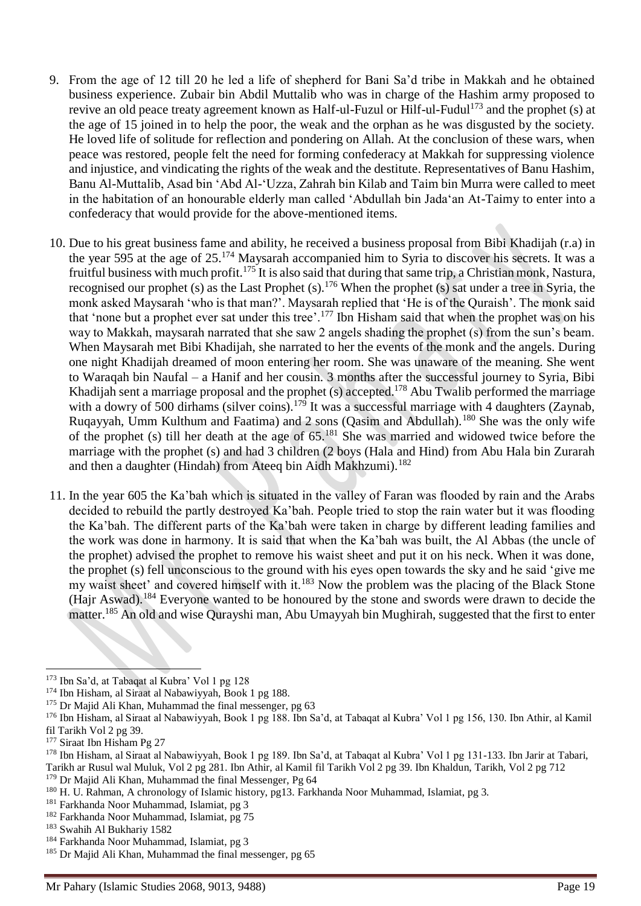- 9. From the age of 12 till 20 he led a life of shepherd for Bani Sa'd tribe in Makkah and he obtained business experience. Zubair bin Abdil Muttalib who was in charge of the Hashim army proposed to revive an old peace treaty agreement known as Half-ul-Fuzul or Hilf-ul-Fudul<sup>173</sup> and the prophet (s) at the age of 15 joined in to help the poor, the weak and the orphan as he was disgusted by the society. He loved life of solitude for reflection and pondering on Allah. At the conclusion of these wars, when peace was restored, people felt the need for forming confederacy at Makkah for suppressing violence and injustice, and vindicating the rights of the weak and the destitute. Representatives of Banu Hashim, Banu Al-Muttalib, Asad bin 'Abd Al-'Uzza, Zahrah bin Kilab and Taim bin Murra were called to meet in the habitation of an honourable elderly man called 'Abdullah bin Jada'an At-Taimy to enter into a confederacy that would provide for the above-mentioned items.
- 10. Due to his great business fame and ability, he received a business proposal from Bibi Khadijah (r.a) in the year 595 at the age of 25.<sup>174</sup> Maysarah accompanied him to Syria to discover his secrets. It was a fruitful business with much profit.<sup>175</sup> It is also said that during that same trip, a Christian monk, Nastura, recognised our prophet (s) as the Last Prophet (s).<sup>176</sup> When the prophet (s) sat under a tree in Syria, the monk asked Maysarah 'who is that man?'. Maysarah replied that 'He is of the Quraish'. The monk said that 'none but a prophet ever sat under this tree'.<sup>177</sup> Ibn Hisham said that when the prophet was on his way to Makkah, maysarah narrated that she saw 2 angels shading the prophet (s) from the sun's beam. When Maysarah met Bibi Khadijah, she narrated to her the events of the monk and the angels. During one night Khadijah dreamed of moon entering her room. She was unaware of the meaning. She went to Waraqah bin Naufal – a Hanif and her cousin. 3 months after the successful journey to Syria, Bibi Khadijah sent a marriage proposal and the prophet (s) accepted.<sup>178</sup> Abu Twalib performed the marriage with a dowry of 500 dirhams (silver coins).<sup>179</sup> It was a successful marriage with 4 daughters (Zaynab, Ruqayyah, Umm Kulthum and Faatima) and 2 sons (Qasim and Abdullah).<sup>180</sup> She was the only wife of the prophet (s) till her death at the age of 65.<sup>181</sup> She was married and widowed twice before the marriage with the prophet (s) and had 3 children (2 boys (Hala and Hind) from Abu Hala bin Zurarah and then a daughter (Hindah) from Ateeq bin Aidh Makhzumi).<sup>182</sup>
- 11. In the year 605 the Ka'bah which is situated in the valley of Faran was flooded by rain and the Arabs decided to rebuild the partly destroyed Ka'bah. People tried to stop the rain water but it was flooding the Ka'bah. The different parts of the Ka'bah were taken in charge by different leading families and the work was done in harmony. It is said that when the Ka'bah was built, the Al Abbas (the uncle of the prophet) advised the prophet to remove his waist sheet and put it on his neck. When it was done, the prophet (s) fell unconscious to the ground with his eyes open towards the sky and he said 'give me my waist sheet' and covered himself with it.<sup>183</sup> Now the problem was the placing of the Black Stone (Hajr Aswad).<sup>184</sup> Everyone wanted to be honoured by the stone and swords were drawn to decide the matter.<sup>185</sup> An old and wise Qurayshi man, Abu Umayyah bin Mughirah, suggested that the first to enter

<sup>173</sup> Ibn Sa'd, at Tabaqat al Kubra' Vol 1 pg 128

<sup>174</sup> Ibn Hisham, al Siraat al Nabawiyyah, Book 1 pg 188.

<sup>&</sup>lt;sup>175</sup> Dr Majid Ali Khan, Muhammad the final messenger, pg 63

<sup>176</sup> Ibn Hisham, al Siraat al Nabawiyyah, Book 1 pg 188. Ibn Sa'd, at Tabaqat al Kubra' Vol 1 pg 156, 130. Ibn Athir, al Kamil fil Tarikh Vol 2 pg 39.

<sup>&</sup>lt;sup>177</sup> Siraat Ibn Hisham Pg 27

<sup>178</sup> Ibn Hisham, al Siraat al Nabawiyyah, Book 1 pg 189. Ibn Sa'd, at Tabaqat al Kubra' Vol 1 pg 131-133. Ibn Jarir at Tabari, Tarikh ar Rusul wal Muluk, Vol 2 pg 281. Ibn Athir, al Kamil fil Tarikh Vol 2 pg 39. Ibn Khaldun, Tarikh, Vol 2 pg 712 <sup>179</sup> Dr Majid Ali Khan, Muhammad the final Messenger, Pg 64

<sup>180</sup> H. U. Rahman, A chronology of Islamic history, pg13. Farkhanda Noor Muhammad, Islamiat, pg 3.

<sup>181</sup> Farkhanda Noor Muhammad, Islamiat, pg 3

<sup>182</sup> Farkhanda Noor Muhammad, Islamiat, pg 75

<sup>183</sup> Swahih Al Bukhariy 1582

<sup>184</sup> Farkhanda Noor Muhammad, Islamiat, pg 3

<sup>&</sup>lt;sup>185</sup> Dr Majid Ali Khan, Muhammad the final messenger, pg 65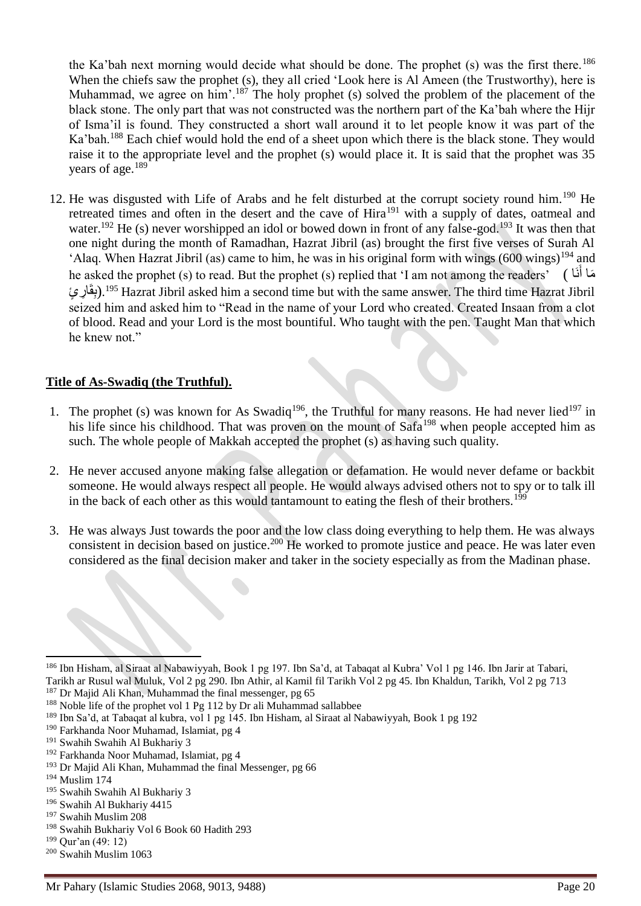the Ka'bah next morning would decide what should be done. The prophet  $(s)$  was the first there.<sup>186</sup> When the chiefs saw the prophet (s), they all cried 'Look here is Al Ameen (the Trustworthy), here is Muhammad, we agree on him'.<sup>187</sup> The holy prophet (s) solved the problem of the placement of the black stone. The only part that was not constructed was the northern part of the Ka'bah where the Hijr of Isma'il is found. They constructed a short wall around it to let people know it was part of the Ka'bah.<sup>188</sup> Each chief would hold the end of a sheet upon which there is the black stone. They would raise it to the appropriate level and the prophet (s) would place it. It is said that the prophet was 35 years of age.<sup>189</sup>

12. He was disgusted with Life of Arabs and he felt disturbed at the corrupt society round him.<sup>190</sup> He retreated times and often in the desert and the cave of Hira<sup>191</sup> with a supply of dates, oatmeal and water.<sup>192</sup> He (s) never worshipped an idol or bowed down in front of any false-god.<sup>193</sup> It was then that one night during the month of Ramadhan, Hazrat Jibril (as) brought the first five verses of Surah Al 'Alaq. When Hazrat Jibril (as) came to him, he was in his original form with wings  $(600 \text{ wings})^{194}$  and he asked the prophet (s) to read. But the prophet (s) replied that 'I am not among the readers' ( اَن َما أ َ بِقَارٍ يَ). $^{195}$  Hazrat Jibril asked him a second time but with the same answer. The third time Hazrat Jibril seized him and asked him to "Read in the name of your Lord who created. Created Insaan from a clot of blood. Read and your Lord is the most bountiful. Who taught with the pen. Taught Man that which he knew not."

## **Title of As-Swadiq (the Truthful).**

- 1. The prophet (s) was known for As Swadiq<sup>196</sup>, the Truthful for many reasons. He had never lied<sup>197</sup> in his life since his childhood. That was proven on the mount of Safa<sup>198</sup> when people accepted him as such. The whole people of Makkah accepted the prophet (s) as having such quality.
- 2. He never accused anyone making false allegation or defamation. He would never defame or backbit someone. He would always respect all people. He would always advised others not to spy or to talk ill in the back of each other as this would tantamount to eating the flesh of their brothers.<sup>199</sup>
- 3. He was always Just towards the poor and the low class doing everything to help them. He was always consistent in decision based on justice.<sup>200</sup> He worked to promote justice and peace. He was later even considered as the final decision maker and taker in the society especially as from the Madinan phase.

 $\overline{a}$ 

<sup>196</sup> Swahih Al Bukhariy 4415

<sup>186</sup> Ibn Hisham, al Siraat al Nabawiyyah, Book 1 pg 197. Ibn Sa'd, at Tabaqat al Kubra' Vol 1 pg 146. Ibn Jarir at Tabari, Tarikh ar Rusul wal Muluk, Vol 2 pg 290. Ibn Athir, al Kamil fil Tarikh Vol 2 pg 45. Ibn Khaldun, Tarikh, Vol 2 pg 713 <sup>187</sup> Dr Majid Ali Khan, Muhammad the final messenger, pg 65

<sup>&</sup>lt;sup>188</sup> Noble life of the prophet vol 1 Pg 112 by Dr ali Muhammad sallabbee

<sup>189</sup> Ibn Sa'd, at Tabaqat al kubra, vol 1 pg 145. Ibn Hisham, al Siraat al Nabawiyyah, Book 1 pg 192

<sup>190</sup> Farkhanda Noor Muhamad, Islamiat, pg 4

<sup>191</sup> Swahih Swahih Al Bukhariy 3

<sup>192</sup> Farkhanda Noor Muhamad, Islamiat, pg 4

<sup>193</sup> Dr Majid Ali Khan, Muhammad the final Messenger, pg 66

<sup>194</sup> Muslim 174

<sup>195</sup> Swahih Swahih Al Bukhariy 3

<sup>197</sup> Swahih Muslim 208

<sup>198</sup> Swahih Bukhariy Vol 6 Book 60 Hadith 293

<sup>199</sup> Qur'an (49: 12)

<sup>200</sup> Swahih Muslim 1063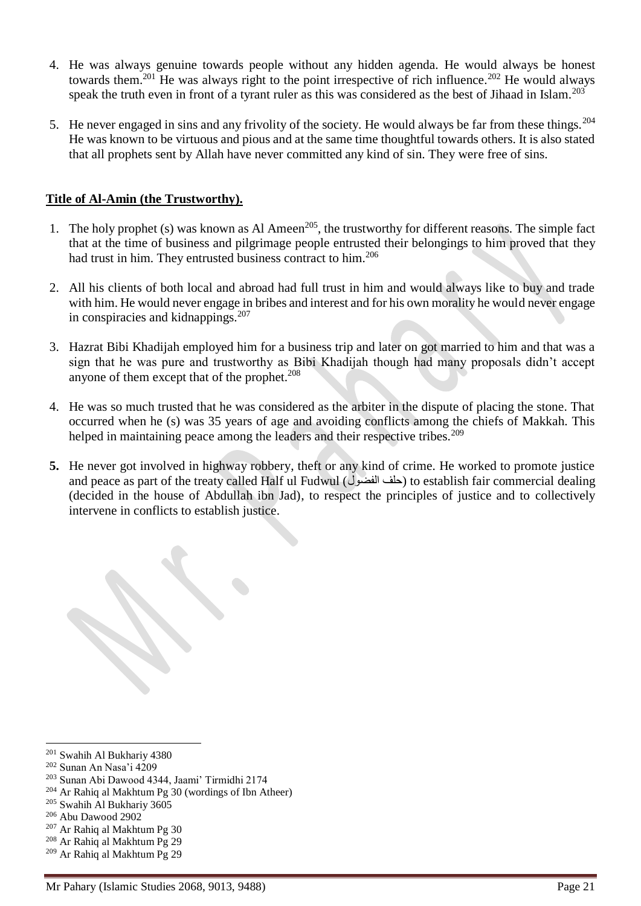- 4. He was always genuine towards people without any hidden agenda. He would always be honest towards them.<sup>201</sup> He was always right to the point irrespective of rich influence.<sup>202</sup> He would always speak the truth even in front of a tyrant ruler as this was considered as the best of Jihaad in Islam.<sup>203</sup>
- 5. He never engaged in sins and any frivolity of the society. He would always be far from these things.<sup>204</sup> He was known to be virtuous and pious and at the same time thoughtful towards others. It is also stated that all prophets sent by Allah have never committed any kind of sin. They were free of sins.

## **Title of Al-Amin (the Trustworthy).**

- 1. The holy prophet (s) was known as Al Ameen<sup>205</sup>, the trustworthy for different reasons. The simple fact that at the time of business and pilgrimage people entrusted their belongings to him proved that they had trust in him. They entrusted business contract to him.<sup>206</sup>
- 2. All his clients of both local and abroad had full trust in him and would always like to buy and trade with him. He would never engage in bribes and interest and for his own morality he would never engage in conspiracies and kidnappings.<sup>207</sup>
- 3. Hazrat Bibi Khadijah employed him for a business trip and later on got married to him and that was a sign that he was pure and trustworthy as Bibi Khadijah though had many proposals didn't accept anyone of them except that of the prophet. $208$
- 4. He was so much trusted that he was considered as the arbiter in the dispute of placing the stone. That occurred when he (s) was 35 years of age and avoiding conflicts among the chiefs of Makkah. This helped in maintaining peace among the leaders and their respective tribes.<sup>209</sup>
- **5.** He never got involved in highway robbery, theft or any kind of crime. He worked to promote justice and peace as part of the treaty called Half ul Fudwul (حلف الفضول) to establish fair commercial dealing (decided in the house of Abdullah ibn Jad), to respect the principles of justice and to collectively intervene in conflicts to establish justice.

<sup>203</sup> Sunan Abi Dawood 4344, Jaami' Tirmidhi 2174

- <sup>205</sup> Swahih Al Bukhariy 3605
- <sup>206</sup> Abu Dawood 2902

- <sup>208</sup> Ar Rahiq al Makhtum Pg 29
- <sup>209</sup> Ar Rahiq al Makhtum Pg 29

 $\overline{a}$ <sup>201</sup> Swahih Al Bukhariy 4380

<sup>202</sup> Sunan An Nasa'i 4209

<sup>204</sup> Ar Rahiq al Makhtum Pg 30 (wordings of Ibn Atheer)

<sup>207</sup> Ar Rahiq al Makhtum Pg 30